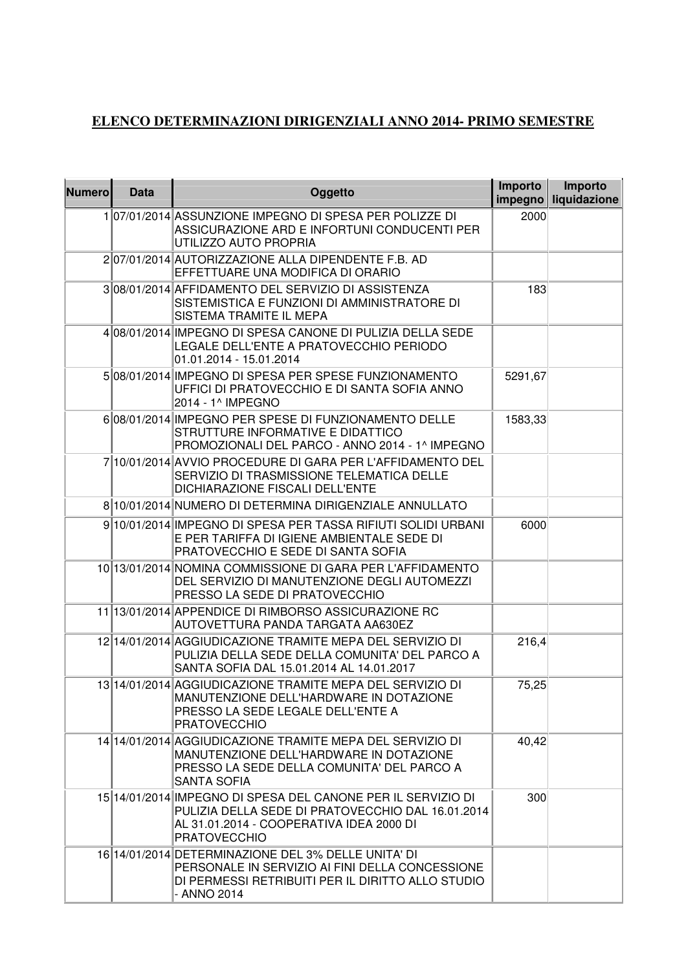## **ELENCO DETERMINAZIONI DIRIGENZIALI ANNO 2014- PRIMO SEMESTRE**

| <b>Numero</b> | <b>Data</b> | Oggetto                                                                                                                                                                              | Importo | Importo<br>impegno liquidazione |
|---------------|-------------|--------------------------------------------------------------------------------------------------------------------------------------------------------------------------------------|---------|---------------------------------|
|               |             | 107/01/2014 ASSUNZIONE IMPEGNO DI SPESA PER POLIZZE DI<br>ASSICURAZIONE ARD E INFORTUNI CONDUCENTI PER<br>UTILIZZO AUTO PROPRIA                                                      | 2000    |                                 |
|               |             | 207/01/2014 AUTORIZZAZIONE ALLA DIPENDENTE F.B. AD<br>EFFETTUARE UNA MODIFICA DI ORARIO                                                                                              |         |                                 |
|               |             | 308/01/2014 AFFIDAMENTO DEL SERVIZIO DI ASSISTENZA<br>SISTEMISTICA E FUNZIONI DI AMMINISTRATORE DI<br>SISTEMA TRAMITE IL MEPA                                                        | 183     |                                 |
|               |             | 4 08/01/2014 IMPEGNO DI SPESA CANONE DI PULIZIA DELLA SEDE<br>LEGALE DELL'ENTE A PRATOVECCHIO PERIODO<br>01.01.2014 - 15.01.2014                                                     |         |                                 |
|               |             | 508/01/2014 IMPEGNO DI SPESA PER SPESE FUNZIONAMENTO<br>UFFICI DI PRATOVECCHIO E DI SANTA SOFIA ANNO<br>2014 - 1^ IMPEGNO                                                            | 5291,67 |                                 |
|               |             | 608/01/2014 IMPEGNO PER SPESE DI FUNZIONAMENTO DELLE<br>STRUTTURE INFORMATIVE E DIDATTICO<br>PROMOZIONALI DEL PARCO - ANNO 2014 - 1^ IMPEGNO                                         | 1583,33 |                                 |
|               |             | 7 10/01/2014 AVVIO PROCEDURE DI GARA PER L'AFFIDAMENTO DEL<br>SERVIZIO DI TRASMISSIONE TELEMATICA DELLE<br>DICHIARAZIONE FISCALI DELL'ENTE                                           |         |                                 |
|               |             | 8 10/01/2014 NUMERO DI DETERMINA DIRIGENZIALE ANNULLATO                                                                                                                              |         |                                 |
|               |             | 9 10/01/2014 IMPEGNO DI SPESA PER TASSA RIFIUTI SOLIDI URBANI<br>E PER TARIFFA DI IGIENE AMBIENTALE SEDE DI<br>PRATOVECCHIO E SEDE DI SANTA SOFIA                                    | 6000    |                                 |
|               |             | 10 13/01/2014 NOMINA COMMISSIONE DI GARA PER L'AFFIDAMENTO<br>DEL SERVIZIO DI MANUTENZIONE DEGLI AUTOMEZZI<br>PRESSO LA SEDE DI PRATOVECCHIO                                         |         |                                 |
|               |             | 11 13/01/2014 APPENDICE DI RIMBORSO ASSICURAZIONE RC<br>AUTOVETTURA PANDA TARGATA AA630EZ                                                                                            |         |                                 |
|               |             | 12 14/01/2014 AGGIUDICAZIONE TRAMITE MEPA DEL SERVIZIO DI<br>PULIZIA DELLA SEDE DELLA COMUNITA' DEL PARCO A<br>SANTA SOFIA DAL 15.01.2014 AL 14.01.2017                              | 216,4   |                                 |
|               |             | 13 14/01/2014 AGGIUDICAZIONE TRAMITE MEPA DEL SERVIZIO DI<br>MANUTENZIONE DELL'HARDWARE IN DOTAZIONE<br>PRESSO LA SEDE LEGALE DELL'ENTE A<br><b>PRATOVECCHIO</b>                     | 75,25   |                                 |
|               |             | 14 14/01/2014 AGGIUDICAZIONE TRAMITE MEPA DEL SERVIZIO DI<br>MANUTENZIONE DELL'HARDWARE IN DOTAZIONE<br>PRESSO LA SEDE DELLA COMUNITA' DEL PARCO A<br><b>SANTA SOFIA</b>             | 40,42   |                                 |
|               |             | 15 14/01/2014 IMPEGNO DI SPESA DEL CANONE PER IL SERVIZIO DI<br>PULIZIA DELLA SEDE DI PRATOVECCHIO DAL 16.01.2014<br>AL 31.01.2014 - COOPERATIVA IDEA 2000 DI<br><b>PRATOVECCHIO</b> | 300     |                                 |
|               |             | 16 14/01/2014 DETERMINAZIONE DEL 3% DELLE UNITA' DI<br>PERSONALE IN SERVIZIO AI FINI DELLA CONCESSIONE<br>DI PERMESSI RETRIBUITI PER IL DIRITTO ALLO STUDIO<br>- ANNO 2014           |         |                                 |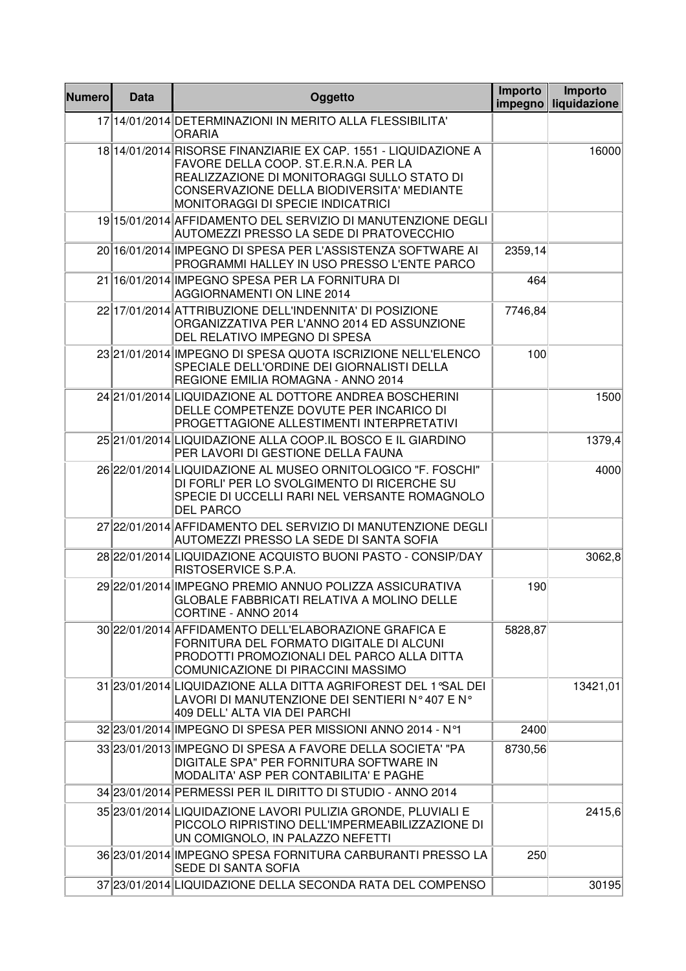| <b>Numero</b> | <b>Data</b> | Oggetto                                                                                                                                                                                                                                           | Importo<br>impegno | Importo<br>liquidazione |
|---------------|-------------|---------------------------------------------------------------------------------------------------------------------------------------------------------------------------------------------------------------------------------------------------|--------------------|-------------------------|
|               |             | 17 14/01/2014 DETERMINAZIONI IN MERITO ALLA FLESSIBILITA'<br><b>ORARIA</b>                                                                                                                                                                        |                    |                         |
|               |             | 18 14/01/2014 RISORSE FINANZIARIE EX CAP. 1551 - LIQUIDAZIONE A<br>FAVORE DELLA COOP, ST.E.R.N.A. PER LA<br>REALIZZAZIONE DI MONITORAGGI SULLO STATO DI<br>CONSERVAZIONE DELLA BIODIVERSITA' MEDIANTE<br><b>MONITORAGGI DI SPECIE INDICATRICI</b> |                    | 16000                   |
|               |             | 19 15/01/2014 AFFIDAMENTO DEL SERVIZIO DI MANUTENZIONE DEGLI<br>AUTOMEZZI PRESSO LA SEDE DI PRATOVECCHIO                                                                                                                                          |                    |                         |
|               |             | 20 16/01/2014 IMPEGNO DI SPESA PER L'ASSISTENZA SOFTWARE AI<br>PROGRAMMI HALLEY IN USO PRESSO L'ENTE PARCO                                                                                                                                        | 2359,14            |                         |
|               |             | 21 16/01/2014 IMPEGNO SPESA PER LA FORNITURA DI<br>AGGIORNAMENTI ON LINE 2014                                                                                                                                                                     | 464                |                         |
|               |             | 22 17/01/2014 ATTRIBUZIONE DELL'INDENNITA' DI POSIZIONE<br>ORGANIZZATIVA PER L'ANNO 2014 ED ASSUNZIONE<br>DEL RELATIVO IMPEGNO DI SPESA                                                                                                           | 7746,84            |                         |
|               |             | 23 21/01/2014 IMPEGNO DI SPESA QUOTA ISCRIZIONE NELL'ELENCO<br>SPECIALE DELL'ORDINE DEI GIORNALISTI DELLA<br>REGIONE EMILIA ROMAGNA - ANNO 2014                                                                                                   | 100                |                         |
|               |             | 24 21/01/2014 LIQUIDAZIONE AL DOTTORE ANDREA BOSCHERINI<br>DELLE COMPETENZE DOVUTE PER INCARICO DI<br>PROGETTAGIONE ALLESTIMENTI INTERPRETATIVI                                                                                                   |                    | 1500                    |
|               |             | 25 21/01/2014 LIQUIDAZIONE ALLA COOP. IL BOSCO E IL GIARDINO<br>PER LAVORI DI GESTIONE DELLA FAUNA                                                                                                                                                |                    | 1379,4                  |
|               |             | 26 22/01/2014 LIQUIDAZIONE AL MUSEO ORNITOLOGICO "F. FOSCHI"<br>DI FORLI' PER LO SVOLGIMENTO DI RICERCHE SU<br>SPECIE DI UCCELLI RARI NEL VERSANTE ROMAGNOLO<br><b>DEL PARCO</b>                                                                  |                    | 4000                    |
|               |             | 27 22/01/2014 AFFIDAMENTO DEL SERVIZIO DI MANUTENZIONE DEGLI<br>AUTOMEZZI PRESSO LA SEDE DI SANTA SOFIA                                                                                                                                           |                    |                         |
|               |             | 28 22/01/2014 LIQUIDAZIONE ACQUISTO BUONI PASTO - CONSIP/DAY<br>RISTOSERVICE S.P.A.                                                                                                                                                               |                    | 3062,8                  |
|               |             | 29 22/01/2014 IMPEGNO PREMIO ANNUO POLIZZA ASSICURATIVA<br>GLOBALE FABBRICATI RELATIVA A MOLINO DELLE<br>CORTINE - ANNO 2014                                                                                                                      | 190                |                         |
|               |             | 30 22/01/2014 AFFIDAMENTO DELL'ELABORAZIONE GRAFICA E<br>FORNITURA DEL FORMATO DIGITALE DI ALCUNI<br>PRODOTTI PROMOZIONALI DEL PARCO ALLA DITTA<br>COMUNICAZIONE DI PIRACCINI MASSIMO                                                             | 5828,87            |                         |
|               |             | 31 23/01/2014 LIQUIDAZIONE ALLA DITTA AGRIFOREST DEL 1 °SAL DEI<br>LAVORI DI MANUTENZIONE DEI SENTIERI N°407 E N°<br>409 DELL' ALTA VIA DEI PARCHI                                                                                                |                    | 13421,01                |
|               |             | 32 23/01/2014 IMPEGNO DI SPESA PER MISSIONI ANNO 2014 - N°1                                                                                                                                                                                       | 2400               |                         |
|               |             | 33 23/01/2013 IMPEGNO DI SPESA A FAVORE DELLA SOCIETA' "PA<br>DIGITALE SPA" PER FORNITURA SOFTWARE IN<br>MODALITA' ASP PER CONTABILITA' E PAGHE                                                                                                   | 8730,56            |                         |
|               |             | 34 23/01/2014 PERMESSI PER IL DIRITTO DI STUDIO - ANNO 2014                                                                                                                                                                                       |                    |                         |
|               |             | 35 23/01/2014 LIQUIDAZIONE LAVORI PULIZIA GRONDE, PLUVIALI E<br>PICCOLO RIPRISTINO DELL'IMPERMEABILIZZAZIONE DI<br>UN COMIGNOLO, IN PALAZZO NEFETTI                                                                                               |                    | 2415,6                  |
|               |             | 36 23/01/2014 IMPEGNO SPESA FORNITURA CARBURANTI PRESSO LA<br>SEDE DI SANTA SOFIA                                                                                                                                                                 | 250                |                         |
|               |             | 37 23/01/2014 LIQUIDAZIONE DELLA SECONDA RATA DEL COMPENSO                                                                                                                                                                                        |                    | 30195                   |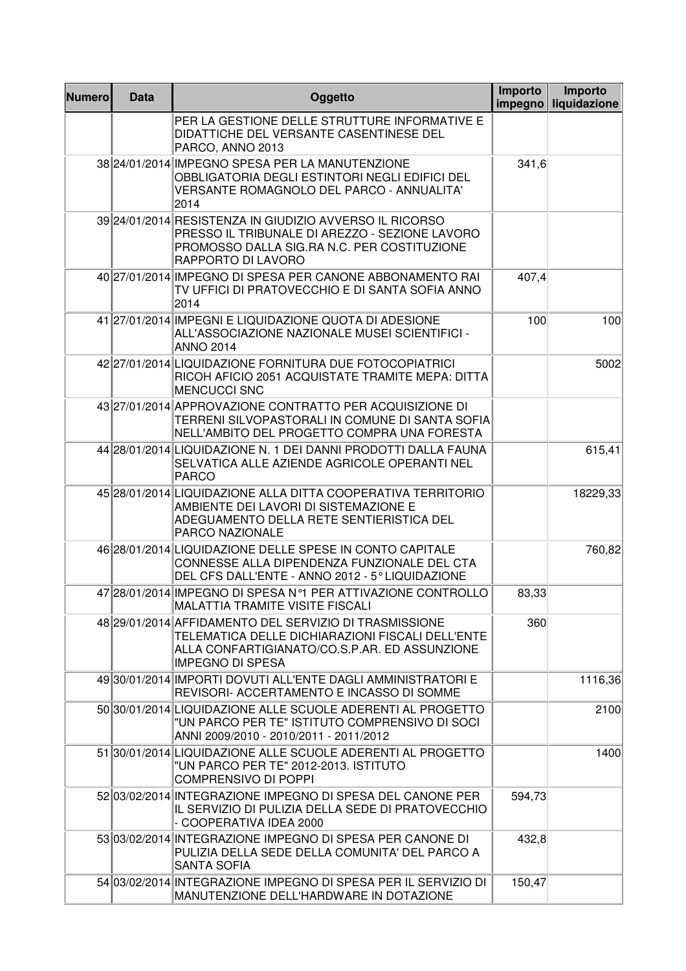| <b>Numero</b> | <b>Data</b> | Oggetto                                                                                                                                                                                | Importo<br>impegno | Importo<br>liquidazione |
|---------------|-------------|----------------------------------------------------------------------------------------------------------------------------------------------------------------------------------------|--------------------|-------------------------|
|               |             | PER LA GESTIONE DELLE STRUTTURE INFORMATIVE E<br>DIDATTICHE DEL VERSANTE CASENTINESE DEL<br>PARCO, ANNO 2013                                                                           |                    |                         |
|               |             | 38 24/01/2014 IMPEGNO SPESA PER LA MANUTENZIONE<br>OBBLIGATORIA DEGLI ESTINTORI NEGLI EDIFICI DEL<br>VERSANTE ROMAGNOLO DEL PARCO - ANNUALITA'<br>2014                                 | 341,6              |                         |
|               |             | 39 24/01/2014 RESISTENZA IN GIUDIZIO AVVERSO IL RICORSO<br>PRESSO IL TRIBUNALE DI AREZZO - SEZIONE LAVORO<br>PROMOSSO DALLA SIG.RA N.C. PER COSTITUZIONE<br>RAPPORTO DI LAVORO         |                    |                         |
|               |             | 40 27/01/2014 IMPEGNO DI SPESA PER CANONE ABBONAMENTO RAI<br>TV UFFICI DI PRATOVECCHIO E DI SANTA SOFIA ANNO<br>2014                                                                   | 407,4              |                         |
|               |             | 41 27/01/2014 IMPEGNI E LIQUIDAZIONE QUOTA DI ADESIONE<br>ALL'ASSOCIAZIONE NAZIONALE MUSEI SCIENTIFICI -<br><b>ANNO 2014</b>                                                           | 100                | 100                     |
|               |             | 42 27/01/2014 LIQUIDAZIONE FORNITURA DUE FOTOCOPIATRICI<br>RICOH AFICIO 2051 ACQUISTATE TRAMITE MEPA: DITTA<br><b>MENCUCCI SNC</b>                                                     |                    | 5002                    |
|               |             | 43 27/01/2014 APPROVAZIONE CONTRATTO PER ACQUISIZIONE DI<br>TERRENI SILVOPASTORALI IN COMUNE DI SANTA SOFIA<br>NELL'AMBITO DEL PROGETTO COMPRA UNA FORESTA                             |                    |                         |
|               |             | 44 28/01/2014 LIQUIDAZIONE N. 1 DEI DANNI PRODOTTI DALLA FAUNA<br>SELVATICA ALLE AZIENDE AGRICOLE OPERANTI NEL<br><b>PARCO</b>                                                         |                    | 615,41                  |
|               |             | 45 28/01/2014 LIQUIDAZIONE ALLA DITTA COOPERATIVA TERRITORIO<br>AMBIENTE DEI LAVORI DI SISTEMAZIONE E<br>ADEGUAMENTO DELLA RETE SENTIERISTICA DEL<br>PARCO NAZIONALE                   |                    | 18229,33                |
|               |             | 46 28/01/2014 LIQUIDAZIONE DELLE SPESE IN CONTO CAPITALE<br>CONNESSE ALLA DIPENDENZA FUNZIONALE DEL CTA<br>DEL CFS DALL'ENTE - ANNO 2012 - 5° LIQUIDAZIONE                             |                    | 760,82                  |
|               |             | 47 28/01/2014 IMPEGNO DI SPESA N°1 PER ATTIVAZIONE CONTROLLO<br>MALATTIA TRAMITE VISITE FISCALI                                                                                        | 83,33              |                         |
|               |             | 48 29/01/2014 AFFIDAMENTO DEL SERVIZIO DI TRASMISSIONE<br>TELEMATICA DELLE DICHIARAZIONI FISCALI DELL'ENTE<br>ALLA CONFARTIGIANATO/CO.S.P.AR. ED ASSUNZIONE<br><b>IMPEGNO DI SPESA</b> | 360                |                         |
|               |             | 49 30/01/2014 IMPORTI DOVUTI ALL'ENTE DAGLI AMMINISTRATORI E<br>REVISORI- ACCERTAMENTO E INCASSO DI SOMME                                                                              |                    | 1116,36                 |
|               |             | 50 30/01/2014 LIQUIDAZIONE ALLE SCUOLE ADERENTI AL PROGETTO<br>"UN PARCO PER TE" ISTITUTO COMPRENSIVO DI SOCI<br>ANNI 2009/2010 - 2010/2011 - 2011/2012                                |                    | 2100                    |
|               |             | 51 30/01/2014 LIQUIDAZIONE ALLE SCUOLE ADERENTI AL PROGETTO<br>"UN PARCO PER TE" 2012-2013. ISTITUTO<br><b>COMPRENSIVO DI POPPI</b>                                                    |                    | 1400                    |
|               |             | 52 03/02/2014 INTEGRAZIONE IMPEGNO DI SPESA DEL CANONE PER<br>IL SERVIZIO DI PULIZIA DELLA SEDE DI PRATOVECCHIO<br>- COOPERATIVA IDEA 2000                                             | 594,73             |                         |
|               |             | 53 03/02/2014 INTEGRAZIONE IMPEGNO DI SPESA PER CANONE DI<br>PULIZIA DELLA SEDE DELLA COMUNITA' DEL PARCO A<br><b>SANTA SOFIA</b>                                                      | 432,8              |                         |
|               |             | 54 03/02/2014 INTEGRAZIONE IMPEGNO DI SPESA PER IL SERVIZIO DI<br>MANUTENZIONE DELL'HARDWARE IN DOTAZIONE                                                                              | 150,47             |                         |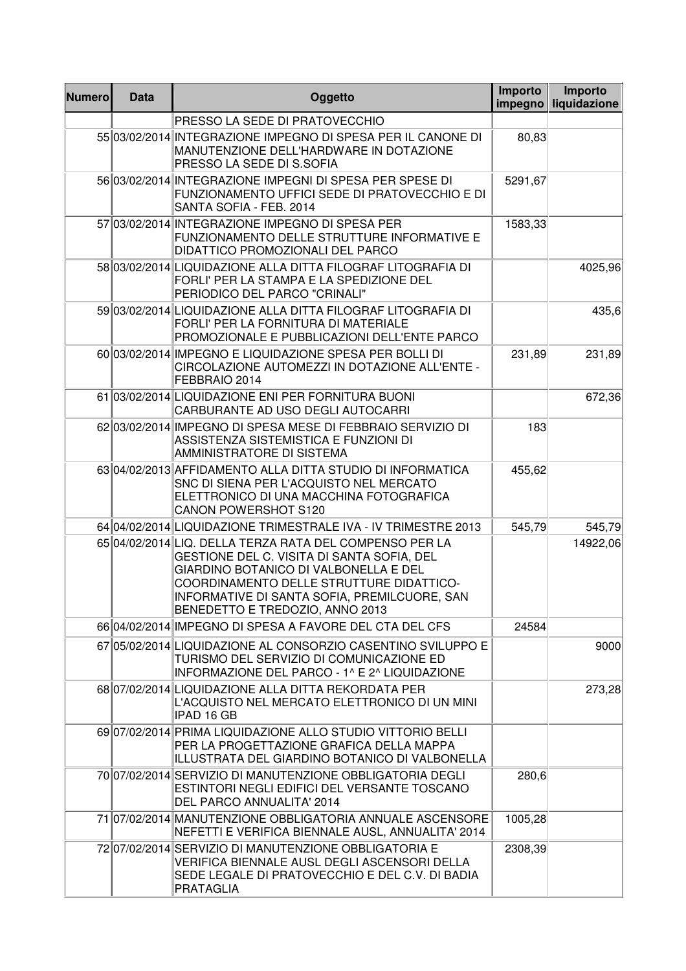| <b>Numero</b> | <b>Data</b> | Oggetto                                                                                                                                                                                                                                                                       | Importo<br>impegno | Importo<br>liquidazione |
|---------------|-------------|-------------------------------------------------------------------------------------------------------------------------------------------------------------------------------------------------------------------------------------------------------------------------------|--------------------|-------------------------|
|               |             | PRESSO LA SEDE DI PRATOVECCHIO                                                                                                                                                                                                                                                |                    |                         |
|               |             | 55 03/02/2014 INTEGRAZIONE IMPEGNO DI SPESA PER IL CANONE DI<br>MANUTENZIONE DELL'HARDWARE IN DOTAZIONE<br>PRESSO LA SEDE DI S.SOFIA                                                                                                                                          | 80,83              |                         |
|               |             | 56 03/02/2014 INTEGRAZIONE IMPEGNI DI SPESA PER SPESE DI<br>FUNZIONAMENTO UFFICI SEDE DI PRATOVECCHIO E DI<br>SANTA SOFIA - FEB. 2014                                                                                                                                         | 5291,67            |                         |
|               |             | 57 03/02/2014 INTEGRAZIONE IMPEGNO DI SPESA PER<br>FUNZIONAMENTO DELLE STRUTTURE INFORMATIVE E<br>DIDATTICO PROMOZIONALI DEL PARCO                                                                                                                                            | 1583,33            |                         |
|               |             | 58 03/02/2014 LIQUIDAZIONE ALLA DITTA FILOGRAF LITOGRAFIA DI<br>FORLI' PER LA STAMPA E LA SPEDIZIONE DEL<br>PERIODICO DEL PARCO "CRINALI"                                                                                                                                     |                    | 4025,96                 |
|               |             | 59 03/02/2014 LIQUIDAZIONE ALLA DITTA FILOGRAF LITOGRAFIA DI<br>FORLI' PER LA FORNITURA DI MATERIALE<br>PROMOZIONALE E PUBBLICAZIONI DELL'ENTE PARCO                                                                                                                          |                    | 435,6                   |
|               |             | 60 03/02/2014 IMPEGNO E LIQUIDAZIONE SPESA PER BOLLI DI<br>CIRCOLAZIONE AUTOMEZZI IN DOTAZIONE ALL'ENTE -<br>FEBBRAIO 2014                                                                                                                                                    | 231,89             | 231,89                  |
|               |             | 61 03/02/2014 LIQUIDAZIONE ENI PER FORNITURA BUONI<br>CARBURANTE AD USO DEGLI AUTOCARRI                                                                                                                                                                                       |                    | 672,36                  |
|               |             | 62 03/02/2014 IMPEGNO DI SPESA MESE DI FEBBRAIO SERVIZIO DI<br>ASSISTENZA SISTEMISTICA E FUNZIONI DI<br>AMMINISTRATORE DI SISTEMA                                                                                                                                             | 183                |                         |
|               |             | 6304/02/2013 AFFIDAMENTO ALLA DITTA STUDIO DI INFORMATICA<br>SNC DI SIENA PER L'ACQUISTO NEL MERCATO<br>ELETTRONICO DI UNA MACCHINA FOTOGRAFICA<br><b>CANON POWERSHOT S120</b>                                                                                                | 455,62             |                         |
|               |             | 64 04/02/2014 LIQUIDAZIONE TRIMESTRALE IVA - IV TRIMESTRE 2013                                                                                                                                                                                                                | 545,79             | 545,79                  |
|               |             | 65 04/02/2014 LIQ. DELLA TERZA RATA DEL COMPENSO PER LA<br>GESTIONE DEL C. VISITA DI SANTA SOFIA, DEL<br>GIARDINO BOTANICO DI VALBONELLA E DEL<br>COORDINAMENTO DELLE STRUTTURE DIDATTICO-<br>INFORMATIVE DI SANTA SOFIA, PREMILCUORE, SAN<br>BENEDETTO E TREDOZIO, ANNO 2013 |                    | 14922,06                |
|               |             | 66 04/02/2014 IMPEGNO DI SPESA A FAVORE DEL CTA DEL CFS                                                                                                                                                                                                                       | 24584              |                         |
|               |             | 67 05/02/2014 LIQUIDAZIONE AL CONSORZIO CASENTINO SVILUPPO E<br>TURISMO DEL SERVIZIO DI COMUNICAZIONE ED<br>INFORMAZIONE DEL PARCO - 1^ E 2^ LIQUIDAZIONE                                                                                                                     |                    | 9000                    |
|               |             | 6807/02/2014 LIQUIDAZIONE ALLA DITTA REKORDATA PER<br>L'ACQUISTO NEL MERCATO ELETTRONICO DI UN MINI<br>IPAD 16 GB                                                                                                                                                             |                    | 273,28                  |
|               |             | 6907/02/2014 PRIMA LIQUIDAZIONE ALLO STUDIO VITTORIO BELLI<br>PER LA PROGETTAZIONE GRAFICA DELLA MAPPA<br>ILLUSTRATA DEL GIARDINO BOTANICO DI VALBONELLA                                                                                                                      |                    |                         |
|               |             | 70 07/02/2014 SERVIZIO DI MANUTENZIONE OBBLIGATORIA DEGLI<br>ESTINTORI NEGLI EDIFICI DEL VERSANTE TOSCANO<br>DEL PARCO ANNUALITA' 2014                                                                                                                                        | 280,6              |                         |
|               |             | 71 07/02/2014 MANUTENZIONE OBBLIGATORIA ANNUALE ASCENSORE<br>NEFETTI E VERIFICA BIENNALE AUSL, ANNUALITA' 2014                                                                                                                                                                | 1005,28            |                         |
|               |             | 72 07/02/2014 SERVIZIO DI MANUTENZIONE OBBLIGATORIA E<br>VERIFICA BIENNALE AUSL DEGLI ASCENSORI DELLA<br>SEDE LEGALE DI PRATOVECCHIO E DEL C.V. DI BADIA<br><b>PRATAGLIA</b>                                                                                                  | 2308,39            |                         |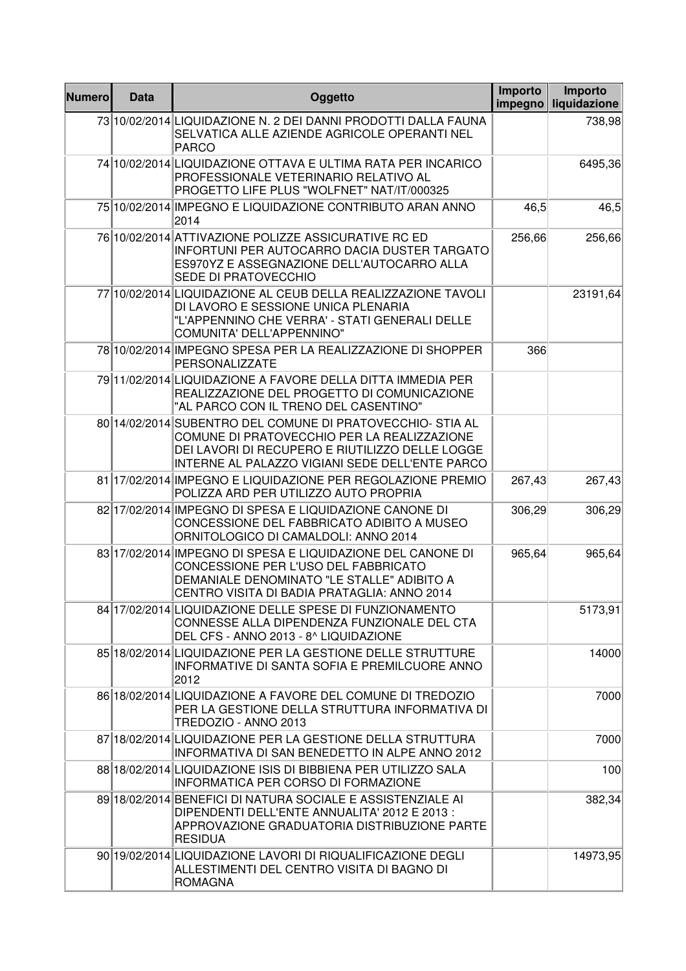| <b>Numero</b> | <b>Data</b> | Oggetto                                                                                                                                                                                                         | Importo<br>impegno | Importo<br>liquidazione |
|---------------|-------------|-----------------------------------------------------------------------------------------------------------------------------------------------------------------------------------------------------------------|--------------------|-------------------------|
|               |             | 73 10/02/2014 LIQUIDAZIONE N. 2 DEI DANNI PRODOTTI DALLA FAUNA<br>SELVATICA ALLE AZIENDE AGRICOLE OPERANTI NEL<br><b>PARCO</b>                                                                                  |                    | 738,98                  |
|               |             | 74 10/02/2014 LIQUIDAZIONE OTTAVA E ULTIMA RATA PER INCARICO<br>PROFESSIONALE VETERINARIO RELATIVO AL<br>PROGETTO LIFE PLUS "WOLFNET" NAT/IT/000325                                                             |                    | 6495,36                 |
|               |             | 75 10/02/2014 IMPEGNO E LIQUIDAZIONE CONTRIBUTO ARAN ANNO<br>2014                                                                                                                                               | 46,5               | 46,5                    |
|               |             | 76 10/02/2014 ATTIVAZIONE POLIZZE ASSICURATIVE RC ED<br>INFORTUNI PER AUTOCARRO DACIA DUSTER TARGATO<br>ES970YZ E ASSEGNAZIONE DELL'AUTOCARRO ALLA<br>SEDE DI PRATOVECCHIO                                      | 256,66             | 256,66                  |
|               |             | 77 10/02/2014 LIQUIDAZIONE AL CEUB DELLA REALIZZAZIONE TAVOLI<br>DI LAVORO E SESSIONE UNICA PLENARIA<br>"L'APPENNINO CHE VERRA' - STATI GENERALI DELLE<br>COMUNITA' DELL'APPENNINO"                             |                    | 23191,64                |
|               |             | 78 10/02/2014 IMPEGNO SPESA PER LA REALIZZAZIONE DI SHOPPER<br>PERSONALIZZATE                                                                                                                                   | 366                |                         |
|               |             | 79 11/02/2014 LIQUIDAZIONE A FAVORE DELLA DITTA IMMEDIA PER<br>REALIZZAZIONE DEL PROGETTO DI COMUNICAZIONE<br>"AL PARCO CON IL TRENO DEL CASENTINO"                                                             |                    |                         |
|               |             | 80 14/02/2014 SUBENTRO DEL COMUNE DI PRATOVECCHIO- STIA AL<br>COMUNE DI PRATOVECCHIO PER LA REALIZZAZIONE<br>DEI LAVORI DI RECUPERO E RIUTILIZZO DELLE LOGGE<br>INTERNE AL PALAZZO VIGIANI SEDE DELL'ENTE PARCO |                    |                         |
|               |             | 81 17/02/2014 IMPEGNO E LIQUIDAZIONE PER REGOLAZIONE PREMIO<br>POLIZZA ARD PER UTILIZZO AUTO PROPRIA                                                                                                            | 267,43             | 267,43                  |
|               |             | 82 17/02/2014 IMPEGNO DI SPESA E LIQUIDAZIONE CANONE DI<br>CONCESSIONE DEL FABBRICATO ADIBITO A MUSEO<br>ORNITOLOGICO DI CAMALDOLI: ANNO 2014                                                                   | 306,29             | 306,29                  |
|               |             | 83 17/02/2014 IMPEGNO DI SPESA E LIQUIDAZIONE DEL CANONE DI<br>CONCESSIONE PER L'USO DEL FABBRICATO<br>DEMANIALE DENOMINATO "LE STALLE" ADIBITO A<br>CENTRO VISITA DI BADIA PRATAGLIA: ANNO 2014                | 965,64             | 965,64                  |
|               |             | 84 17/02/2014 LIQUIDAZIONE DELLE SPESE DI FUNZIONAMENTO<br>CONNESSE ALLA DIPENDENZA FUNZIONALE DEL CTA<br>DEL CFS - ANNO 2013 - 8^ LIQUIDAZIONE                                                                 |                    | 5173,91                 |
|               |             | 85 18/02/2014 LIQUIDAZIONE PER LA GESTIONE DELLE STRUTTURE<br>INFORMATIVE DI SANTA SOFIA E PREMILCUORE ANNO<br>2012                                                                                             |                    | 14000                   |
|               |             | 86 18/02/2014 LIQUIDAZIONE A FAVORE DEL COMUNE DI TREDOZIO<br>PER LA GESTIONE DELLA STRUTTURA INFORMATIVA DI<br>TREDOZIO - ANNO 2013                                                                            |                    | 7000                    |
|               |             | 87 18/02/2014 LIQUIDAZIONE PER LA GESTIONE DELLA STRUTTURA<br>INFORMATIVA DI SAN BENEDETTO IN ALPE ANNO 2012                                                                                                    |                    | 7000                    |
|               |             | 88 18/02/2014 LIQUIDAZIONE ISIS DI BIBBIENA PER UTILIZZO SALA<br><b>INFORMATICA PER CORSO DI FORMAZIONE</b>                                                                                                     |                    | 100                     |
|               |             | 89 18/02/2014 BENEFICI DI NATURA SOCIALE E ASSISTENZIALE AI<br>DIPENDENTI DELL'ENTE ANNUALITA' 2012 E 2013 :<br>APPROVAZIONE GRADUATORIA DISTRIBUZIONE PARTE<br><b>RESIDUA</b>                                  |                    | 382,34                  |
|               |             | 90 19/02/2014 LIQUIDAZIONE LAVORI DI RIQUALIFICAZIONE DEGLI<br>ALLESTIMENTI DEL CENTRO VISITA DI BAGNO DI<br><b>ROMAGNA</b>                                                                                     |                    | 14973,95                |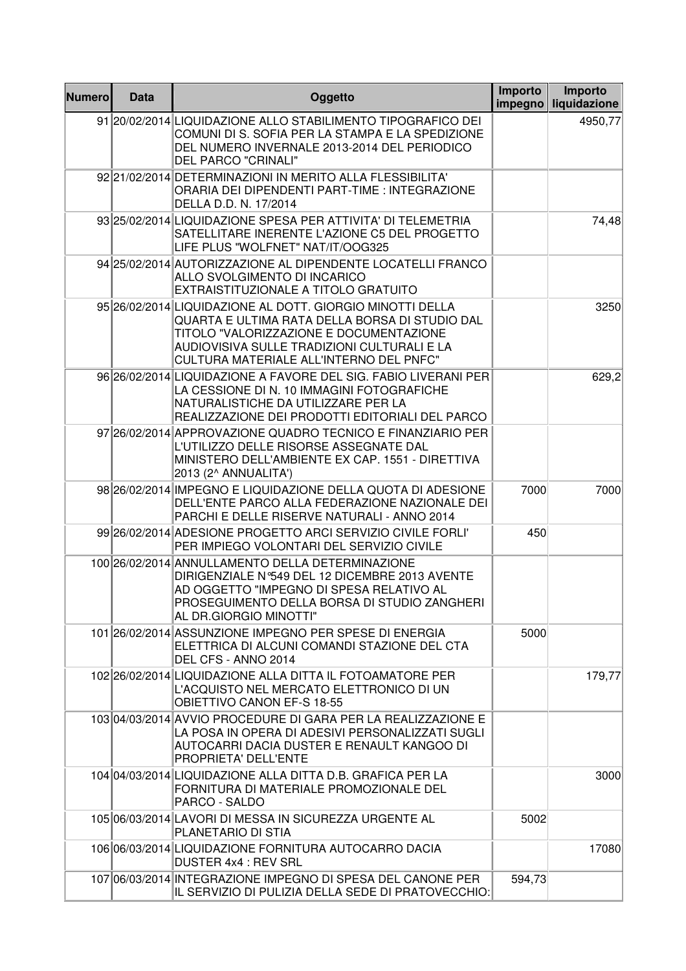| <b>Numero</b> | <b>Data</b> | Oggetto                                                                                                                                                                                                                                          | <b>Importo</b><br>impegno | Importo<br>liquidazione |
|---------------|-------------|--------------------------------------------------------------------------------------------------------------------------------------------------------------------------------------------------------------------------------------------------|---------------------------|-------------------------|
|               |             | 91 20/02/2014 LIQUIDAZIONE ALLO STABILIMENTO TIPOGRAFICO DEI<br>COMUNI DI S. SOFIA PER LA STAMPA E LA SPEDIZIONE<br>DEL NUMERO INVERNALE 2013-2014 DEL PERIODICO<br><b>DEL PARCO "CRINALI"</b>                                                   |                           | 4950,77                 |
|               |             | 92 21/02/2014 DETERMINAZIONI IN MERITO ALLA FLESSIBILITA'<br>ORARIA DEI DIPENDENTI PART-TIME : INTEGRAZIONE<br>DELLA D.D. N. 17/2014                                                                                                             |                           |                         |
|               |             | 93 25/02/2014 LIQUIDAZIONE SPESA PER ATTIVITA' DI TELEMETRIA<br>SATELLITARE INERENTE L'AZIONE C5 DEL PROGETTO<br>LIFE PLUS "WOLFNET" NAT/IT/OOG325                                                                                               |                           | 74,48                   |
|               |             | 94 25/02/2014 AUTORIZZAZIONE AL DIPENDENTE LOCATELLI FRANCO<br>ALLO SVOLGIMENTO DI INCARICO<br>EXTRAISTITUZIONALE A TITOLO GRATUITO                                                                                                              |                           |                         |
|               |             | 95 26/02/2014 LIQUIDAZIONE AL DOTT. GIORGIO MINOTTI DELLA<br>QUARTA E ULTIMA RATA DELLA BORSA DI STUDIO DAL<br>TITOLO "VALORIZZAZIONE E DOCUMENTAZIONE<br>AUDIOVISIVA SULLE TRADIZIONI CULTURALI E LA<br>CULTURA MATERIALE ALL'INTERNO DEL PNFC" |                           | 3250                    |
|               |             | 96 26/02/2014 LIQUIDAZIONE A FAVORE DEL SIG. FABIO LIVERANI PER<br>LA CESSIONE DI N. 10 IMMAGINI FOTOGRAFICHE<br>NATURALISTICHE DA UTILIZZARE PER LA<br>REALIZZAZIONE DEI PRODOTTI EDITORIALI DEL PARCO                                          |                           | 629,2                   |
|               |             | 97 26/02/2014 APPROVAZIONE QUADRO TECNICO E FINANZIARIO PER<br>L'UTILIZZO DELLE RISORSE ASSEGNATE DAL<br>MINISTERO DELL'AMBIENTE EX CAP. 1551 - DIRETTIVA<br>2013 (2^ ANNUALITA')                                                                |                           |                         |
|               |             | 98 26/02/2014 IMPEGNO E LIQUIDAZIONE DELLA QUOTA DI ADESIONE<br>DELL'ENTE PARCO ALLA FEDERAZIONE NAZIONALE DEI<br>PARCHI E DELLE RISERVE NATURALI - ANNO 2014                                                                                    | 7000                      | 7000                    |
|               |             | 99 26/02/2014 ADESIONE PROGETTO ARCI SERVIZIO CIVILE FORLI'<br>PER IMPIEGO VOLONTARI DEL SERVIZIO CIVILE                                                                                                                                         | 450                       |                         |
|               |             | 100 26/02/2014 ANNULLAMENTO DELLA DETERMINAZIONE<br>DIRIGENZIALE N°549 DEL 12 DICEMBRE 2013 AVENTE<br>AD OGGETTO "IMPEGNO DI SPESA RELATIVO AL<br>PROSEGUIMENTO DELLA BORSA DI STUDIO ZANGHERI<br>AL DR.GIORGIO MINOTTI"                         |                           |                         |
|               |             | 101 26/02/2014 ASSUNZIONE IMPEGNO PER SPESE DI ENERGIA<br>ELETTRICA DI ALCUNI COMANDI STAZIONE DEL CTA<br>DEL CFS - ANNO 2014                                                                                                                    | 5000                      |                         |
|               |             | 102 26/02/2014 LIQUIDAZIONE ALLA DITTA IL FOTOAMATORE PER<br>L'ACQUISTO NEL MERCATO ELETTRONICO DI UN<br>OBIETTIVO CANON EF-S 18-55                                                                                                              |                           | 179,77                  |
|               |             | 103 04/03/2014 AVVIO PROCEDURE DI GARA PER LA REALIZZAZIONE E<br>LA POSA IN OPERA DI ADESIVI PERSONALIZZATI SUGLI<br>AUTOCARRI DACIA DUSTER E RENAULT KANGOO DI<br>PROPRIETA' DELL'ENTE                                                          |                           |                         |
|               |             | 104 04/03/2014 LIQUIDAZIONE ALLA DITTA D.B. GRAFICA PER LA<br>FORNITURA DI MATERIALE PROMOZIONALE DEL<br>PARCO - SALDO                                                                                                                           |                           | 3000                    |
|               |             | 105 06/03/2014 LAVORI DI MESSA IN SICUREZZA URGENTE AL<br>PLANETARIO DI STIA                                                                                                                                                                     | 5002                      |                         |
|               |             | 106 06/03/2014 LIQUIDAZIONE FORNITURA AUTOCARRO DACIA<br>DUSTER 4x4 : REV SRL                                                                                                                                                                    |                           | 17080                   |
|               |             | 107 06/03/2014 INTEGRAZIONE IMPEGNO DI SPESA DEL CANONE PER<br>IL SERVIZIO DI PULIZIA DELLA SEDE DI PRATOVECCHIO:                                                                                                                                | 594,73                    |                         |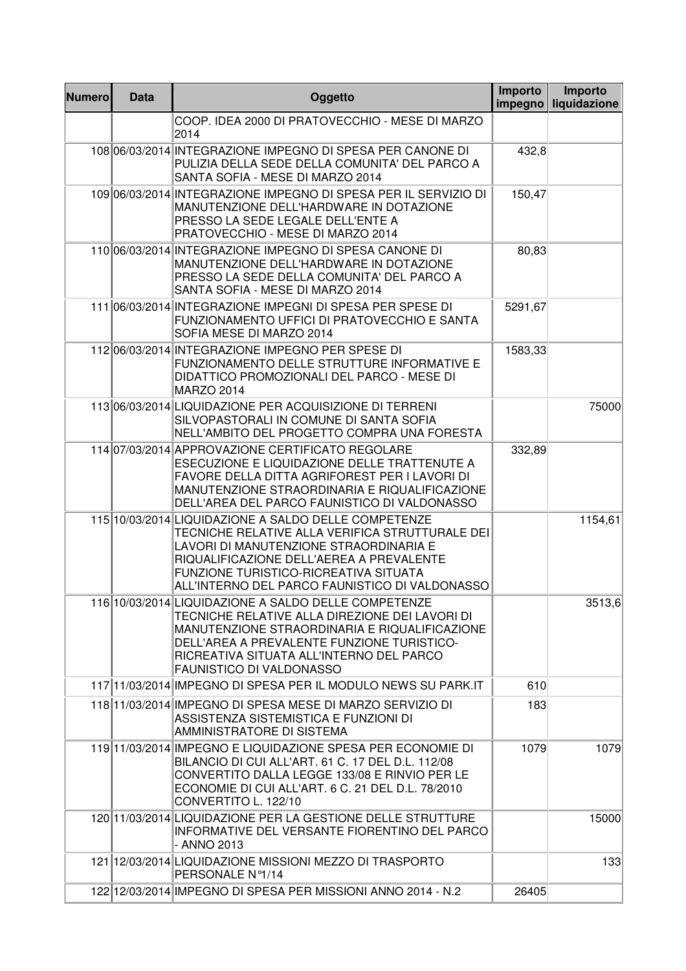| <b>Numero</b> | <b>Data</b> | Oggetto                                                                                                                                                                                                                                                                                  | Importo<br>impegno | Importo<br>liquidazione |
|---------------|-------------|------------------------------------------------------------------------------------------------------------------------------------------------------------------------------------------------------------------------------------------------------------------------------------------|--------------------|-------------------------|
|               |             | COOP. IDEA 2000 DI PRATOVECCHIO - MESE DI MARZO<br>2014                                                                                                                                                                                                                                  |                    |                         |
|               |             | 108 06/03/2014 INTEGRAZIONE IMPEGNO DI SPESA PER CANONE DI<br>PULIZIA DELLA SEDE DELLA COMUNITA' DEL PARCO A<br>SANTA SOFIA - MESE DI MARZO 2014                                                                                                                                         | 432,8              |                         |
|               |             | 109 06/03/2014 INTEGRAZIONE IMPEGNO DI SPESA PER IL SERVIZIO DI<br>MANUTENZIONE DELL'HARDWARE IN DOTAZIONE<br>PRESSO LA SEDE LEGALE DELL'ENTE A<br>PRATOVECCHIO - MESE DI MARZO 2014                                                                                                     | 150,47             |                         |
|               |             | 110 06/03/2014 INTEGRAZIONE IMPEGNO DI SPESA CANONE DI<br>MANUTENZIONE DELL'HARDWARE IN DOTAZIONE<br>PRESSO LA SEDE DELLA COMUNITA' DEL PARCO A<br>SANTA SOFIA - MESE DI MARZO 2014                                                                                                      | 80,83              |                         |
|               |             | 111 06/03/2014 INTEGRAZIONE IMPEGNI DI SPESA PER SPESE DI<br>FUNZIONAMENTO UFFICI DI PRATOVECCHIO E SANTA<br>SOFIA MESE DI MARZO 2014                                                                                                                                                    | 5291,67            |                         |
|               |             | 112 06/03/2014 INTEGRAZIONE IMPEGNO PER SPESE DI<br>FUNZIONAMENTO DELLE STRUTTURE INFORMATIVE E<br>DIDATTICO PROMOZIONALI DEL PARCO - MESE DI<br><b>MARZO 2014</b>                                                                                                                       | 1583,33            |                         |
|               |             | 113 06/03/2014 LIQUIDAZIONE PER ACQUISIZIONE DI TERRENI<br>SILVOPASTORALI IN COMUNE DI SANTA SOFIA<br>NELL'AMBITO DEL PROGETTO COMPRA UNA FORESTA                                                                                                                                        |                    | 75000                   |
|               |             | 114 07/03/2014 APPROVAZIONE CERTIFICATO REGOLARE<br>ESECUZIONE E LIQUIDAZIONE DELLE TRATTENUTE A<br>FAVORE DELLA DITTA AGRIFOREST PER I LAVORI DI<br>MANUTENZIONE STRAORDINARIA E RIQUALIFICAZIONE<br>DELL'AREA DEL PARCO FAUNISTICO DI VALDONASSO                                       | 332,89             |                         |
|               |             | 115 10/03/2014 LIQUIDAZIONE A SALDO DELLE COMPETENZE<br>TECNICHE RELATIVE ALLA VERIFICA STRUTTURALE DEI<br>LAVORI DI MANUTENZIONE STRAORDINARIA E<br>RIQUALIFICAZIONE DELL'AEREA A PREVALENTE<br>FUNZIONE TURISTICO-RICREATIVA SITUATA<br>ALL'INTERNO DEL PARCO FAUNISTICO DI VALDONASSO |                    | 1154,61                 |
|               |             | 116 10/03/2014 LIQUIDAZIONE A SALDO DELLE COMPETENZE<br>TECNICHE RELATIVE ALLA DIREZIONE DEI LAVORI DI<br>MANUTENZIONE STRAORDINARIA E RIQUALIFICAZIONE<br>DELL'AREA A PREVALENTE FUNZIONE TURISTICO-<br>RICREATIVA SITUATA ALL'INTERNO DEL PARCO<br><b>FAUNISTICO DI VALDONASSO</b>     |                    | 3513,6                  |
|               |             | 117 1/03/2014 IMPEGNO DI SPESA PER IL MODULO NEWS SU PARK.IT                                                                                                                                                                                                                             | 610                |                         |
|               |             | 118 11/03/2014 IMPEGNO DI SPESA MESE DI MARZO SERVIZIO DI<br>ASSISTENZA SISTEMISTICA E FUNZIONI DI<br>AMMINISTRATORE DI SISTEMA                                                                                                                                                          | 183                |                         |
|               |             | 119 11/03/2014 IMPEGNO E LIQUIDAZIONE SPESA PER ECONOMIE DI<br>BILANCIO DI CUI ALL'ART. 61 C. 17 DEL D.L. 112/08<br>CONVERTITO DALLA LEGGE 133/08 E RINVIO PER LE<br>ECONOMIE DI CUI ALL'ART. 6 C. 21 DEL D.L. 78/2010<br>CONVERTITO L. 122/10                                           | 1079               | 1079                    |
|               |             | 120 11/03/2014 LIQUIDAZIONE PER LA GESTIONE DELLE STRUTTURE<br>INFORMATIVE DEL VERSANTE FIORENTINO DEL PARCO<br>- ANNO 2013                                                                                                                                                              |                    | 15000                   |
|               |             | 121 12/03/2014 LIQUIDAZIONE MISSIONI MEZZO DI TRASPORTO<br>PERSONALE Nº1/14                                                                                                                                                                                                              |                    | 133                     |
|               |             | 122 12/03/2014 IMPEGNO DI SPESA PER MISSIONI ANNO 2014 - N.2                                                                                                                                                                                                                             | 26405              |                         |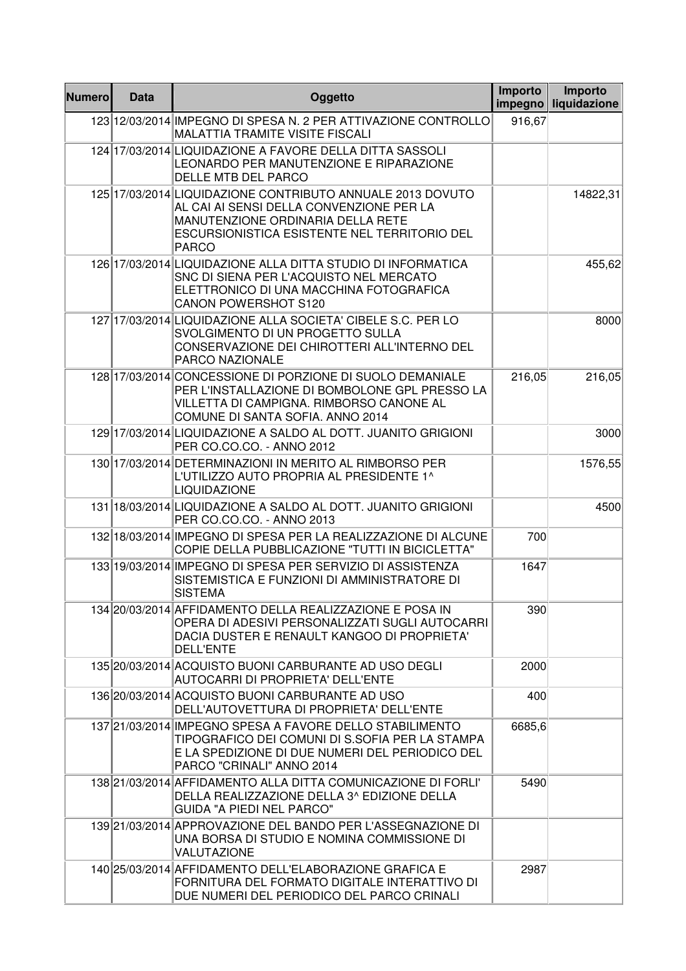| <b>Numero</b> | <b>Data</b> | Oggetto                                                                                                                                                                                                     | Importo<br>impegno | Importo<br>liquidazione |
|---------------|-------------|-------------------------------------------------------------------------------------------------------------------------------------------------------------------------------------------------------------|--------------------|-------------------------|
|               |             | 123 12/03/2014 IMPEGNO DI SPESA N. 2 PER ATTIVAZIONE CONTROLLO<br>MALATTIA TRAMITE VISITE FISCALI                                                                                                           | 916,67             |                         |
|               |             | 124 17/03/2014 LIQUIDAZIONE A FAVORE DELLA DITTA SASSOLI<br>LEONARDO PER MANUTENZIONE E RIPARAZIONE<br>DELLE MTB DEL PARCO                                                                                  |                    |                         |
|               |             | 125 17/03/2014 LIQUIDAZIONE CONTRIBUTO ANNUALE 2013 DOVUTO<br>AL CAI AI SENSI DELLA CONVENZIONE PER LA<br>MANUTENZIONE ORDINARIA DELLA RETE<br>ESCURSIONISTICA ESISTENTE NEL TERRITORIO DEL<br><b>PARCO</b> |                    | 14822,31                |
|               |             | 126 17/03/2014 LIQUIDAZIONE ALLA DITTA STUDIO DI INFORMATICA<br>SNC DI SIENA PER L'ACQUISTO NEL MERCATO<br>ELETTRONICO DI UNA MACCHINA FOTOGRAFICA<br><b>CANON POWERSHOT S120</b>                           |                    | 455,62                  |
|               |             | 127 17/03/2014 LIQUIDAZIONE ALLA SOCIETA' CIBELE S.C. PER LO<br>SVOLGIMENTO DI UN PROGETTO SULLA<br>CONSERVAZIONE DEI CHIROTTERI ALL'INTERNO DEL<br>PARCO NAZIONALE                                         |                    | 8000                    |
|               |             | 128 17/03/2014 CONCESSIONE DI PORZIONE DI SUOLO DEMANIALE<br>PER L'INSTALLAZIONE DI BOMBOLONE GPL PRESSO LA<br>VILLETTA DI CAMPIGNA. RIMBORSO CANONE AL<br>COMUNE DI SANTA SOFIA. ANNO 2014                 | 216,05             | 216,05                  |
|               |             | 129 17/03/2014 LIQUIDAZIONE A SALDO AL DOTT. JUANITO GRIGIONI<br>PER CO.CO.CO. - ANNO 2012                                                                                                                  |                    | 3000                    |
|               |             | 130 17/03/2014 DETERMINAZIONI IN MERITO AL RIMBORSO PER<br>L'UTILIZZO AUTO PROPRIA AL PRESIDENTE 1^<br><b>LIQUIDAZIONE</b>                                                                                  |                    | 1576,55                 |
|               |             | 131 18/03/2014 LIQUIDAZIONE A SALDO AL DOTT. JUANITO GRIGIONI<br>PER CO.CO.CO. - ANNO 2013                                                                                                                  |                    | 4500                    |
|               |             | 132 18/03/2014 IMPEGNO DI SPESA PER LA REALIZZAZIONE DI ALCUNE<br>COPIE DELLA PUBBLICAZIONE "TUTTI IN BICICLETTA"                                                                                           | 700                |                         |
|               |             | 133 19/03/2014 IMPEGNO DI SPESA PER SERVIZIO DI ASSISTENZA<br>SISTEMISTICA E FUNZIONI DI AMMINISTRATORE DI<br><b>SISTEMA</b>                                                                                | 1647               |                         |
|               |             | 134 20/03/2014 AFFIDAMENTO DELLA REALIZZAZIONE E POSA IN<br>OPERA DI ADESIVI PERSONALIZZATI SUGLI AUTOCARRI<br>DACIA DUSTER E RENAULT KANGOO DI PROPRIETA'<br><b>DELL'ENTE</b>                              | 390                |                         |
|               |             | 135 20/03/2014 ACQUISTO BUONI CARBURANTE AD USO DEGLI<br>AUTOCARRI DI PROPRIETA' DELL'ENTE                                                                                                                  | 2000               |                         |
|               |             | 136 20/03/2014 ACQUISTO BUONI CARBURANTE AD USO<br>DELL'AUTOVETTURA DI PROPRIETA' DELL'ENTE                                                                                                                 | 400                |                         |
|               |             | 137 21/03/2014 IMPEGNO SPESA A FAVORE DELLO STABILIMENTO<br>TIPOGRAFICO DEI COMUNI DI S.SOFIA PER LA STAMPA<br>E LA SPEDIZIONE DI DUE NUMERI DEL PERIODICO DEL<br>PARCO "CRINALI" ANNO 2014                 | 6685,6             |                         |
|               |             | 138 21/03/2014 AFFIDAMENTO ALLA DITTA COMUNICAZIONE DI FORLI'<br>DELLA REALIZZAZIONE DELLA 3^ EDIZIONE DELLA<br><b>GUIDA "A PIEDI NEL PARCO"</b>                                                            | 5490               |                         |
|               |             | 139 21/03/2014 APPROVAZIONE DEL BANDO PER L'ASSEGNAZIONE DI<br>UNA BORSA DI STUDIO E NOMINA COMMISSIONE DI<br>VALUTAZIONE                                                                                   |                    |                         |
|               |             | 140 25/03/2014 AFFIDAMENTO DELL'ELABORAZIONE GRAFICA E<br>FORNITURA DEL FORMATO DIGITALE INTERATTIVO DI<br>DUE NUMERI DEL PERIODICO DEL PARCO CRINALI                                                       | 2987               |                         |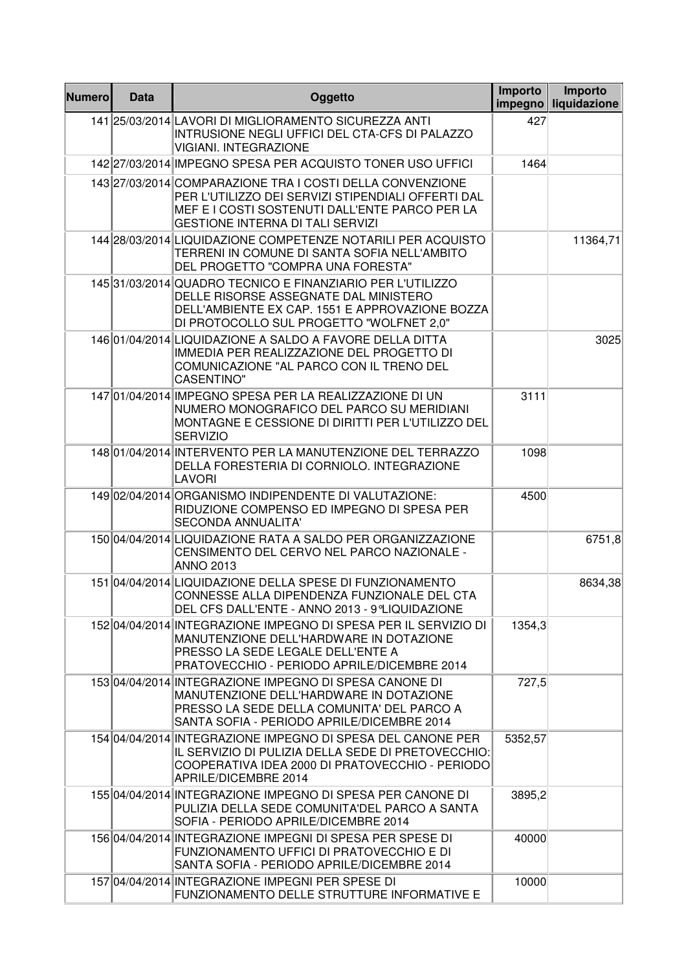| <b>Numero</b> | <b>Data</b> | Oggetto                                                                                                                                                                                                      | Importo<br>impegno | Importo<br>liquidazione |
|---------------|-------------|--------------------------------------------------------------------------------------------------------------------------------------------------------------------------------------------------------------|--------------------|-------------------------|
|               |             | 141 25/03/2014 LAVORI DI MIGLIORAMENTO SICUREZZA ANTI<br>INTRUSIONE NEGLI UFFICI DEL CTA-CFS DI PALAZZO<br><b>VIGIANI. INTEGRAZIONE</b>                                                                      | 427                |                         |
|               |             | 142 27/03/2014 IMPEGNO SPESA PER ACQUISTO TONER USO UFFICI                                                                                                                                                   | 1464               |                         |
|               |             | 143 27/03/2014 COMPARAZIONE TRA I COSTI DELLA CONVENZIONE<br>PER L'UTILIZZO DEI SERVIZI STIPENDIALI OFFERTI DAL<br>MEF E I COSTI SOSTENUTI DALL'ENTE PARCO PER LA<br><b>GESTIONE INTERNA DI TALI SERVIZI</b> |                    |                         |
|               |             | 144 28/03/2014 LIQUIDAZIONE COMPETENZE NOTARILI PER ACQUISTO<br>TERRENI IN COMUNE DI SANTA SOFIA NELL'AMBITO<br>DEL PROGETTO "COMPRA UNA FORESTA"                                                            |                    | 11364,71                |
|               |             | 14531/03/2014 QUADRO TECNICO E FINANZIARIO PER L'UTILIZZO<br>DELLE RISORSE ASSEGNATE DAL MINISTERO<br>DELL'AMBIENTE EX CAP. 1551 E APPROVAZIONE BOZZA<br>DI PROTOCOLLO SUL PROGETTO "WOLFNET 2,0"            |                    |                         |
|               |             | 14601/04/2014 LIQUIDAZIONE A SALDO A FAVORE DELLA DITTA<br>IMMEDIA PER REALIZZAZIONE DEL PROGETTO DI<br>COMUNICAZIONE "AL PARCO CON IL TRENO DEL<br><b>CASENTINO"</b>                                        |                    | 3025                    |
|               |             | 14701/04/2014 IMPEGNO SPESA PER LA REALIZZAZIONE DI UN<br>NUMERO MONOGRAFICO DEL PARCO SU MERIDIANI<br>MONTAGNE E CESSIONE DI DIRITTI PER L'UTILIZZO DEL<br><b>SERVIZIO</b>                                  | 3111               |                         |
|               |             | 148 01/04/2014 INTERVENTO PER LA MANUTENZIONE DEL TERRAZZO<br>DELLA FORESTERIA DI CORNIOLO. INTEGRAZIONE<br><b>LAVORI</b>                                                                                    | 1098               |                         |
|               |             | 149 02/04/2014 ORGANISMO INDIPENDENTE DI VALUTAZIONE:<br>RIDUZIONE COMPENSO ED IMPEGNO DI SPESA PER<br><b>SECONDA ANNUALITA'</b>                                                                             | 4500               |                         |
|               |             | 150 04/04/2014 LIQUIDAZIONE RATA A SALDO PER ORGANIZZAZIONE<br>CENSIMENTO DEL CERVO NEL PARCO NAZIONALE -<br><b>ANNO 2013</b>                                                                                |                    | 6751,8                  |
|               |             | 151 04/04/2014 LIQUIDAZIONE DELLA SPESE DI FUNZIONAMENTO<br>CONNESSE ALLA DIPENDENZA FUNZIONALE DEL CTA<br>DEL CFS DALL'ENTE - ANNO 2013 - 9°LIQUIDAZIONE                                                    |                    | 8634,38                 |
|               |             | 152 04/04/2014 INTEGRAZIONE IMPEGNO DI SPESA PER IL SERVIZIO DI<br>MANUTENZIONE DELL'HARDWARE IN DOTAZIONE<br>PRESSO LA SEDE LEGALE DELL'ENTE A<br>PRATOVECCHIO - PERIODO APRILE/DICEMBRE 2014               | 1354,3             |                         |
|               |             | 153 04/04/2014 INTEGRAZIONE IMPEGNO DI SPESA CANONE DI<br>MANUTENZIONE DELL'HARDWARE IN DOTAZIONE<br>PRESSO LA SEDE DELLA COMUNITA' DEL PARCO A<br>SANTA SOFIA - PERIODO APRILE/DICEMBRE 2014                | 727,5              |                         |
|               |             | 154 04/04/2014 INTEGRAZIONE IMPEGNO DI SPESA DEL CANONE PER<br>IL SERVIZIO DI PULIZIA DELLA SEDE DI PRETOVECCHIO:<br>COOPERATIVA IDEA 2000 DI PRATOVECCHIO - PERIODO<br>APRILE/DICEMBRE 2014                 | 5352,57            |                         |
|               |             | 155 04/04/2014 INTEGRAZIONE IMPEGNO DI SPESA PER CANONE DI<br>PULIZIA DELLA SEDE COMUNITA'DEL PARCO A SANTA<br>SOFIA - PERIODO APRILE/DICEMBRE 2014                                                          | 3895,2             |                         |
|               |             | 156 04/04/2014 INTEGRAZIONE IMPEGNI DI SPESA PER SPESE DI<br>FUNZIONAMENTO UFFICI DI PRATOVECCHIO E DI<br>SANTA SOFIA - PERIODO APRILE/DICEMBRE 2014                                                         | 40000              |                         |
|               |             | 157 04/04/2014 INTEGRAZIONE IMPEGNI PER SPESE DI<br>FUNZIONAMENTO DELLE STRUTTURE INFORMATIVE E                                                                                                              | 10000              |                         |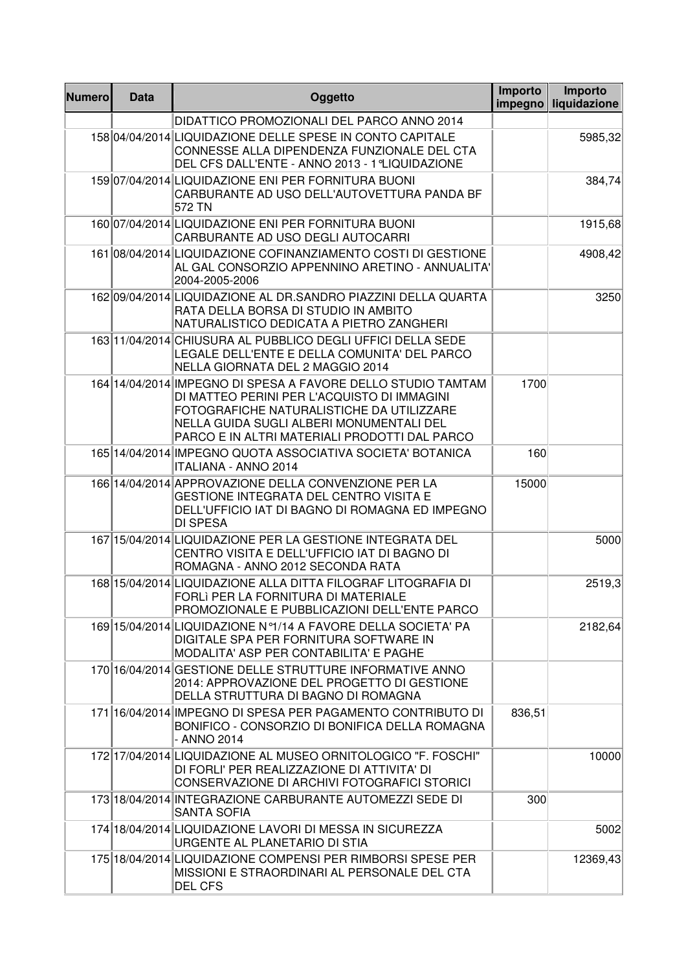| <b>Numero</b> | <b>Data</b> | Oggetto                                                                                                                                                                                                                                               | Importo<br>impegno | Importo<br>liquidazione |
|---------------|-------------|-------------------------------------------------------------------------------------------------------------------------------------------------------------------------------------------------------------------------------------------------------|--------------------|-------------------------|
|               |             | DIDATTICO PROMOZIONALI DEL PARCO ANNO 2014                                                                                                                                                                                                            |                    |                         |
|               |             | 158 04/04/2014 LIQUIDAZIONE DELLE SPESE IN CONTO CAPITALE<br>CONNESSE ALLA DIPENDENZA FUNZIONALE DEL CTA<br>DEL CFS DALL'ENTE - ANNO 2013 - 1 °LIQUIDAZIONE                                                                                           |                    | 5985,32                 |
|               |             | 159 07/04/2014 LIQUIDAZIONE ENI PER FORNITURA BUONI<br>CARBURANTE AD USO DELL'AUTOVETTURA PANDA BF<br>572 TN                                                                                                                                          |                    | 384,74                  |
|               |             | 160 07/04/2014 LIQUIDAZIONE ENI PER FORNITURA BUONI<br>CARBURANTE AD USO DEGLI AUTOCARRI                                                                                                                                                              |                    | 1915,68                 |
|               |             | 161 08/04/2014 LIQUIDAZIONE COFINANZIAMENTO COSTI DI GESTIONE<br>AL GAL CONSORZIO APPENNINO ARETINO - ANNUALITA'<br>2004-2005-2006                                                                                                                    |                    | 4908,42                 |
|               |             | 162 09/04/2014 LIQUIDAZIONE AL DR.SANDRO PIAZZINI DELLA QUARTA<br>RATA DELLA BORSA DI STUDIO IN AMBITO<br>NATURALISTICO DEDICATA A PIETRO ZANGHERI                                                                                                    |                    | 3250                    |
|               |             | 163 11/04/2014 CHIUSURA AL PUBBLICO DEGLI UFFICI DELLA SEDE<br>LEGALE DELL'ENTE E DELLA COMUNITA' DEL PARCO<br>NELLA GIORNATA DEL 2 MAGGIO 2014                                                                                                       |                    |                         |
|               |             | 164 14/04/2014 IMPEGNO DI SPESA A FAVORE DELLO STUDIO TAMTAM<br>DI MATTEO PERINI PER L'ACQUISTO DI IMMAGINI<br>FOTOGRAFICHE NATURALISTICHE DA UTILIZZARE<br>NELLA GUIDA SUGLI ALBERI MONUMENTALI DEL<br>PARCO E IN ALTRI MATERIALI PRODOTTI DAL PARCO | 1700               |                         |
|               |             | 165 14/04/2014 IMPEGNO QUOTA ASSOCIATIVA SOCIETA' BOTANICA<br><b>ITALIANA - ANNO 2014</b>                                                                                                                                                             | 160                |                         |
|               |             | 166 14/04/2014 APPROVAZIONE DELLA CONVENZIONE PER LA<br><b>GESTIONE INTEGRATA DEL CENTRO VISITA E</b><br>DELL'UFFICIO IAT DI BAGNO DI ROMAGNA ED IMPEGNO<br><b>DI SPESA</b>                                                                           | 15000              |                         |
|               |             | 167 15/04/2014 LIQUIDAZIONE PER LA GESTIONE INTEGRATA DEL<br>CENTRO VISITA E DELL'UFFICIO IAT DI BAGNO DI<br>ROMAGNA - ANNO 2012 SECONDA RATA                                                                                                         |                    | 5000                    |
|               |             | 168 15/04/2014 LIQUIDAZIONE ALLA DITTA FILOGRAF LITOGRAFIA DI<br>FORLI PER LA FORNITURA DI MATERIALE<br>PROMOZIONALE E PUBBLICAZIONI DELL'ENTE PARCO                                                                                                  |                    | 2519,3                  |
|               |             | 169 15/04/2014 LIQUIDAZIONE Nº1/14 A FAVORE DELLA SOCIETA' PA<br>DIGITALE SPA PER FORNITURA SOFTWARE IN<br>MODALITA' ASP PER CONTABILITA' E PAGHE                                                                                                     |                    | 2182,64                 |
|               |             | 170 16/04/2014 GESTIONE DELLE STRUTTURE INFORMATIVE ANNO<br>2014: APPROVAZIONE DEL PROGETTO DI GESTIONE<br>DELLA STRUTTURA DI BAGNO DI ROMAGNA                                                                                                        |                    |                         |
|               |             | 171 16/04/2014 IMPEGNO DI SPESA PER PAGAMENTO CONTRIBUTO DI<br>BONIFICO - CONSORZIO DI BONIFICA DELLA ROMAGNA<br>- ANNO 2014                                                                                                                          | 836,51             |                         |
|               |             | 172 17/04/2014 LIQUIDAZIONE AL MUSEO ORNITOLOGICO "F. FOSCHI"<br>DI FORLI' PER REALIZZAZIONE DI ATTIVITA' DI<br>CONSERVAZIONE DI ARCHIVI FOTOGRAFICI STORICI                                                                                          |                    | 10000                   |
|               |             | 173 18/04/2014 INTEGRAZIONE CARBURANTE AUTOMEZZI SEDE DI<br><b>SANTA SOFIA</b>                                                                                                                                                                        | 300                |                         |
|               |             | 174 18/04/2014 LIQUIDAZIONE LAVORI DI MESSA IN SICUREZZA<br>URGENTE AL PLANETARIO DI STIA                                                                                                                                                             |                    | 5002                    |
|               |             | 175 18/04/2014 LIQUIDAZIONE COMPENSI PER RIMBORSI SPESE PER<br>MISSIONI E STRAORDINARI AL PERSONALE DEL CTA<br><b>DEL CFS</b>                                                                                                                         |                    | 12369,43                |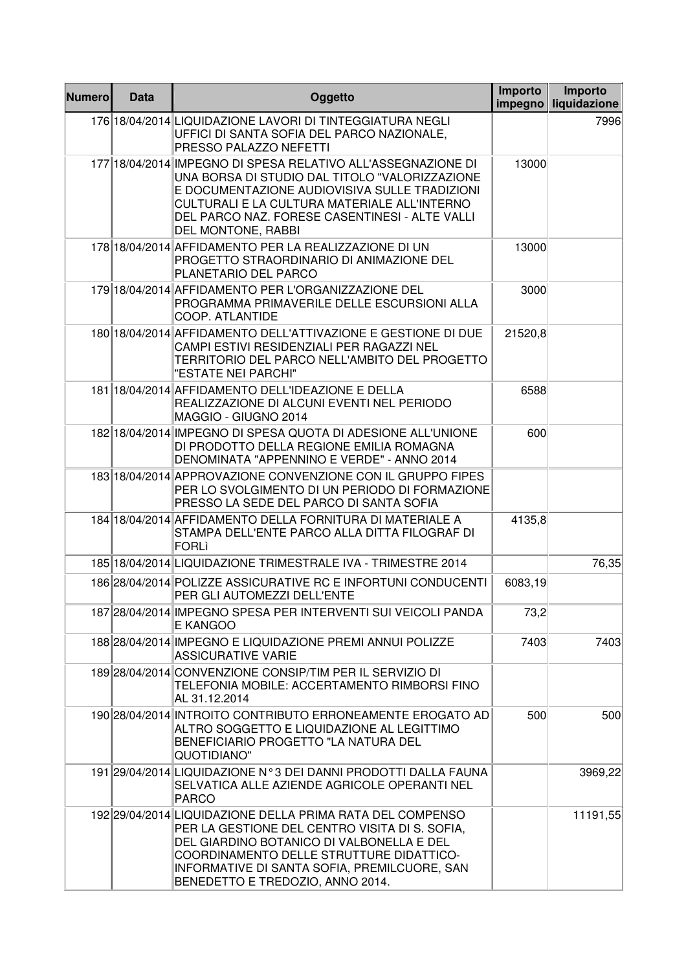| <b>Numero</b> | <b>Data</b> | Oggetto                                                                                                                                                                                                                                                                                  | Importo<br>impegno | Importo<br>liquidazione |
|---------------|-------------|------------------------------------------------------------------------------------------------------------------------------------------------------------------------------------------------------------------------------------------------------------------------------------------|--------------------|-------------------------|
|               |             | 176 18/04/2014 LIQUIDAZIONE LAVORI DI TINTEGGIATURA NEGLI<br>UFFICI DI SANTA SOFIA DEL PARCO NAZIONALE,<br>PRESSO PALAZZO NEFETTI                                                                                                                                                        |                    | 7996                    |
|               |             | 177 18/04/2014 IMPEGNO DI SPESA RELATIVO ALL'ASSEGNAZIONE DI<br>UNA BORSA DI STUDIO DAL TITOLO "VALORIZZAZIONE<br>E DOCUMENTAZIONE AUDIOVISIVA SULLE TRADIZIONI<br>CULTURALI E LA CULTURA MATERIALE ALL'INTERNO<br>DEL PARCO NAZ. FORESE CASENTINESI - ALTE VALLI<br>DEL MONTONE, RABBI  | 13000              |                         |
|               |             | 178 18/04/2014 AFFIDAMENTO PER LA REALIZZAZIONE DI UN<br>PROGETTO STRAORDINARIO DI ANIMAZIONE DEL<br>PLANETARIO DEL PARCO                                                                                                                                                                | 13000              |                         |
|               |             | 179 18/04/2014 AFFIDAMENTO PER L'ORGANIZZAZIONE DEL<br>PROGRAMMA PRIMAVERILE DELLE ESCURSIONI ALLA<br>COOP. ATLANTIDE                                                                                                                                                                    | 3000               |                         |
|               |             | 180 18/04/2014 AFFIDAMENTO DELL'ATTIVAZIONE E GESTIONE DI DUE<br>CAMPI ESTIVI RESIDENZIALI PER RAGAZZI NEL<br>TERRITORIO DEL PARCO NELL'AMBITO DEL PROGETTO<br>"ESTATE NEI PARCHI"                                                                                                       | 21520,8            |                         |
|               |             | 181 18/04/2014 AFFIDAMENTO DELL'IDEAZIONE E DELLA<br>REALIZZAZIONE DI ALCUNI EVENTI NEL PERIODO<br>MAGGIO - GIUGNO 2014                                                                                                                                                                  | 6588               |                         |
|               |             | 182 18/04/2014 IMPEGNO DI SPESA QUOTA DI ADESIONE ALL'UNIONE<br>DI PRODOTTO DELLA REGIONE EMILIA ROMAGNA<br>DENOMINATA "APPENNINO E VERDE" - ANNO 2014                                                                                                                                   | 600                |                         |
|               |             | 183 18/04/2014 APPROVAZIONE CONVENZIONE CON IL GRUPPO FIPES<br>PER LO SVOLGIMENTO DI UN PERIODO DI FORMAZIONE<br>PRESSO LA SEDE DEL PARCO DI SANTA SOFIA                                                                                                                                 |                    |                         |
|               |             | 184 18/04/2014 AFFIDAMENTO DELLA FORNITURA DI MATERIALE A<br>STAMPA DELL'ENTE PARCO ALLA DITTA FILOGRAF DI<br><b>FORLI</b>                                                                                                                                                               | 4135,8             |                         |
|               |             | 185 18/04/2014 LIQUIDAZIONE TRIMESTRALE IVA - TRIMESTRE 2014                                                                                                                                                                                                                             |                    | 76,35                   |
|               |             | 186 28/04/2014 POLIZZE ASSICURATIVE RC E INFORTUNI CONDUCENTI<br>PER GLI AUTOMEZZI DELL'ENTE                                                                                                                                                                                             | 6083,19            |                         |
|               |             | 187 28/04/2014 IMPEGNO SPESA PER INTERVENTI SUI VEICOLI PANDA<br>E KANGOO                                                                                                                                                                                                                | 73,2               |                         |
|               |             | 188 28/04/2014 IMPEGNO E LIQUIDAZIONE PREMI ANNUI POLIZZE<br><b>ASSICURATIVE VARIE</b>                                                                                                                                                                                                   | 7403               | 7403                    |
|               |             | 189 28/04/2014 CONVENZIONE CONSIP/TIM PER IL SERVIZIO DI<br>TELEFONIA MOBILE: ACCERTAMENTO RIMBORSI FINO<br>AL 31.12.2014                                                                                                                                                                |                    |                         |
|               |             | 190 28/04/2014 INTROITO CONTRIBUTO ERRONEAMENTE EROGATO AD<br>ALTRO SOGGETTO E LIQUIDAZIONE AL LEGITTIMO<br>BENEFICIARIO PROGETTO "LA NATURA DEL<br>QUOTIDIANO"                                                                                                                          | 500                | 500                     |
|               |             | 191 29/04/2014 LIQUIDAZIONE N°3 DEI DANNI PRODOTTI DALLA FAUNA<br>SELVATICA ALLE AZIENDE AGRICOLE OPERANTI NEL<br><b>PARCO</b>                                                                                                                                                           |                    | 3969,22                 |
|               |             | 192 29/04/2014 LIQUIDAZIONE DELLA PRIMA RATA DEL COMPENSO<br>PER LA GESTIONE DEL CENTRO VISITA DI S. SOFIA,<br>DEL GIARDINO BOTANICO DI VALBONELLA E DEL<br>COORDINAMENTO DELLE STRUTTURE DIDATTICO-<br>INFORMATIVE DI SANTA SOFIA, PREMILCUORE, SAN<br>BENEDETTO E TREDOZIO, ANNO 2014. |                    | 11191,55                |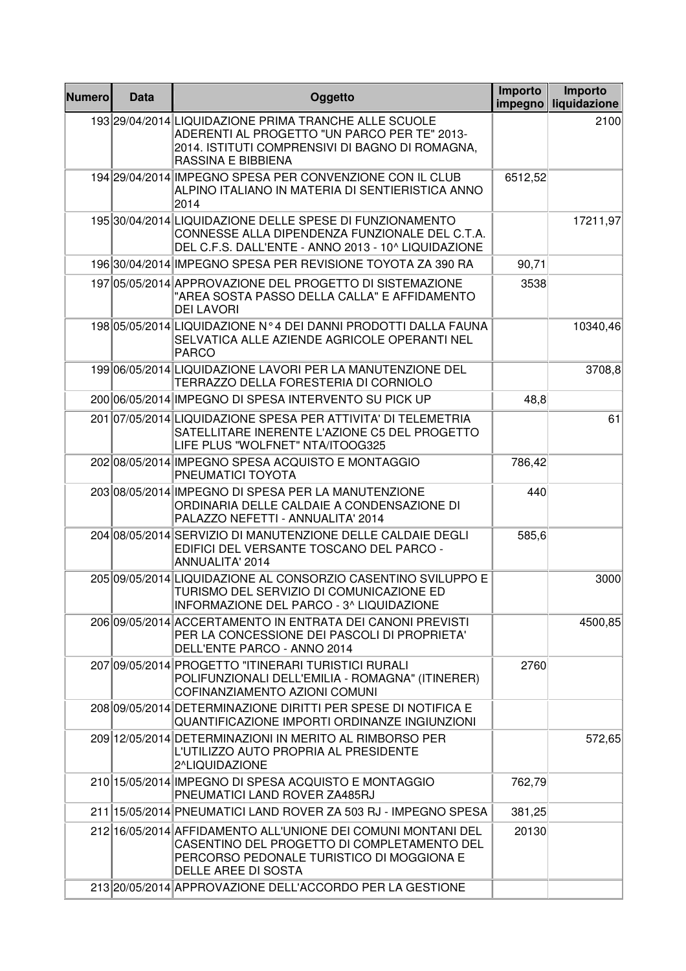| <b>Numero</b> | Data | Oggetto                                                                                                                                                                         | Importo<br>impegno | Importo<br>liquidazione |
|---------------|------|---------------------------------------------------------------------------------------------------------------------------------------------------------------------------------|--------------------|-------------------------|
|               |      | 193 29/04/2014 LIQUIDAZIONE PRIMA TRANCHE ALLE SCUOLE<br>ADERENTI AL PROGETTO "UN PARCO PER TE" 2013-<br>2014. ISTITUTI COMPRENSIVI DI BAGNO DI ROMAGNA,<br>RASSINA E BIBBIENA  |                    | 2100                    |
|               |      | 194 29/04/2014 IMPEGNO SPESA PER CONVENZIONE CON IL CLUB<br>ALPINO ITALIANO IN MATERIA DI SENTIERISTICA ANNO<br>2014                                                            | 6512,52            |                         |
|               |      | 195 30/04/2014 LIQUIDAZIONE DELLE SPESE DI FUNZIONAMENTO<br>CONNESSE ALLA DIPENDENZA FUNZIONALE DEL C.T.A.<br>DEL C.F.S. DALL'ENTE - ANNO 2013 - 10^ LIQUIDAZIONE               |                    | 17211,97                |
|               |      | 196 30/04/2014 IMPEGNO SPESA PER REVISIONE TOYOTA ZA 390 RA                                                                                                                     | 90,71              |                         |
|               |      | 197 05/05/2014 APPROVAZIONE DEL PROGETTO DI SISTEMAZIONE<br>"AREA SOSTA PASSO DELLA CALLA" E AFFIDAMENTO<br><b>DEI LAVORI</b>                                                   | 3538               |                         |
|               |      | 19805/05/2014 LIQUIDAZIONE N°4 DEI DANNI PRODOTTI DALLA FAUNA<br>SELVATICA ALLE AZIENDE AGRICOLE OPERANTI NEL<br><b>PARCO</b>                                                   |                    | 10340,46                |
|               |      | 199 06/05/2014 LIQUIDAZIONE LAVORI PER LA MANUTENZIONE DEL<br>TERRAZZO DELLA FORESTERIA DI CORNIOLO                                                                             |                    | 3708,8                  |
|               |      | 20006/05/2014 IMPEGNO DI SPESA INTERVENTO SU PICK UP                                                                                                                            | 48,8               |                         |
|               |      | 201 07/05/2014 LIQUIDAZIONE SPESA PER ATTIVITA' DI TELEMETRIA<br>SATELLITARE INERENTE L'AZIONE C5 DEL PROGETTO<br>LIFE PLUS "WOLFNET" NTA/ITOOG325                              |                    | 61                      |
|               |      | 202 08/05/2014 IMPEGNO SPESA ACQUISTO E MONTAGGIO<br>PNEUMATICI TOYOTA                                                                                                          | 786,42             |                         |
|               |      | 203 08/05/2014 IMPEGNO DI SPESA PER LA MANUTENZIONE<br>ORDINARIA DELLE CALDAIE A CONDENSAZIONE DI<br>PALAZZO NEFETTI - ANNUALITA' 2014                                          | 440                |                         |
|               |      | 204 08/05/2014 SERVIZIO DI MANUTENZIONE DELLE CALDAIE DEGLI<br>EDIFICI DEL VERSANTE TOSCANO DEL PARCO -<br>ANNUALITA' 2014                                                      | 585,6              |                         |
|               |      | 205 09/05/2014 LIQUIDAZIONE AL CONSORZIO CASENTINO SVILUPPO E<br>TURISMO DEL SERVIZIO DI COMUNICAZIONE ED<br>INFORMAZIONE DEL PARCO - 3^ LIQUIDAZIONE                           |                    | 3000                    |
|               |      | 206 09/05/2014 ACCERTAMENTO IN ENTRATA DEI CANONI PREVISTI<br>PER LA CONCESSIONE DEI PASCOLI DI PROPRIETA'<br>DELL'ENTE PARCO - ANNO 2014                                       |                    | 4500,85                 |
|               |      | 207 09/05/2014 PROGETTO "ITINERARI TURISTICI RURALI<br>POLIFUNZIONALI DELL'EMILIA - ROMAGNA" (ITINERER)<br>COFINANZIAMENTO AZIONI COMUNI                                        | 2760               |                         |
|               |      | 208 09/05/2014 DETERMINAZIONE DIRITTI PER SPESE DI NOTIFICA E<br>QUANTIFICAZIONE IMPORTI ORDINANZE INGIUNZIONI                                                                  |                    |                         |
|               |      | 209 12/05/2014 DETERMINAZIONI IN MERITO AL RIMBORSO PER<br>L'UTILIZZO AUTO PROPRIA AL PRESIDENTE<br>2^LIQUIDAZIONE                                                              |                    | 572,65                  |
|               |      | 210 15/05/2014 IMPEGNO DI SPESA ACQUISTO E MONTAGGIO<br>PNEUMATICI LAND ROVER ZA485RJ                                                                                           | 762,79             |                         |
|               |      | 211 15/05/2014 PNEUMATICI LAND ROVER ZA 503 RJ - IMPEGNO SPESA                                                                                                                  | 381,25             |                         |
|               |      | 212 16/05/2014 AFFIDAMENTO ALL'UNIONE DEI COMUNI MONTANI DEL<br>CASENTINO DEL PROGETTO DI COMPLETAMENTO DEL<br>PERCORSO PEDONALE TURISTICO DI MOGGIONA E<br>DELLE AREE DI SOSTA | 20130              |                         |
|               |      | 213 20/05/2014 APPROVAZIONE DELL'ACCORDO PER LA GESTIONE                                                                                                                        |                    |                         |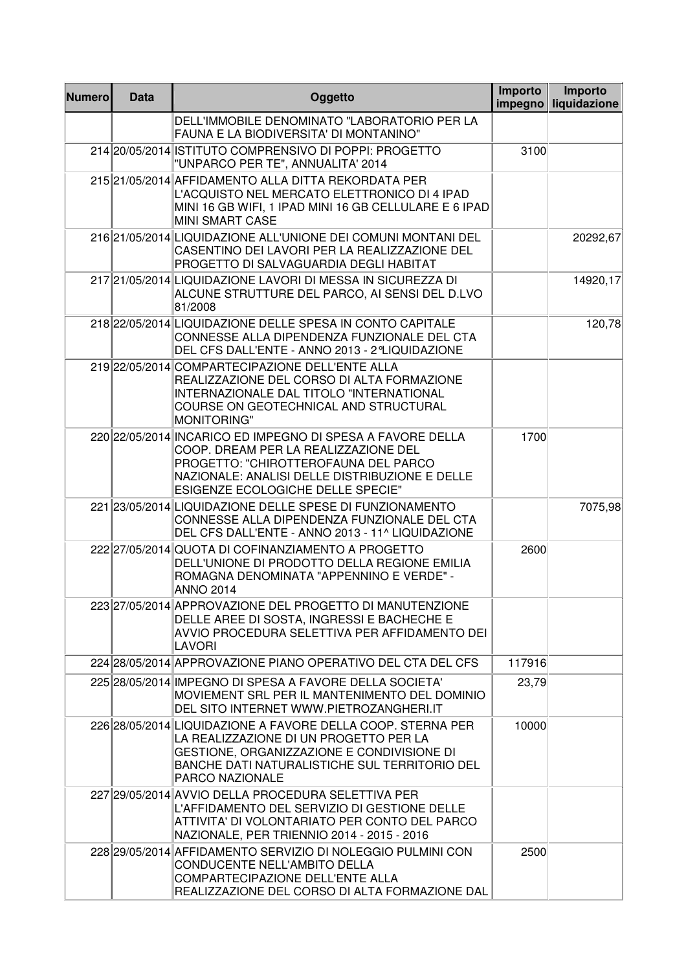| <b>Numero</b> | <b>Data</b> | Oggetto                                                                                                                                                                                                                           | Importo<br>impegno | Importo<br>liquidazione |
|---------------|-------------|-----------------------------------------------------------------------------------------------------------------------------------------------------------------------------------------------------------------------------------|--------------------|-------------------------|
|               |             | DELL'IMMOBILE DENOMINATO "LABORATORIO PER LA<br>FAUNA E LA BIODIVERSITA' DI MONTANINO"                                                                                                                                            |                    |                         |
|               |             | 214 20/05/2014 ISTITUTO COMPRENSIVO DI POPPI: PROGETTO<br>"UNPARCO PER TE", ANNUALITA' 2014                                                                                                                                       | 3100               |                         |
|               |             | 215 21/05/2014 AFFIDAMENTO ALLA DITTA REKORDATA PER<br>L'ACQUISTO NEL MERCATO ELETTRONICO DI 4 IPAD<br>MINI 16 GB WIFI, 1 IPAD MINI 16 GB CELLULARE E 6 IPAD<br><b>MINI SMART CASE</b>                                            |                    |                         |
|               |             | 216 21/05/2014 LIQUIDAZIONE ALL'UNIONE DEI COMUNI MONTANI DEL<br>CASENTINO DEI LAVORI PER LA REALIZZAZIONE DEL<br>PROGETTO DI SALVAGUARDIA DEGLI HABITAT                                                                          |                    | 20292,67                |
|               |             | 217 21/05/2014 LIQUIDAZIONE LAVORI DI MESSA IN SICUREZZA DI<br>ALCUNE STRUTTURE DEL PARCO, AI SENSI DEL D.LVO<br>81/2008                                                                                                          |                    | 14920,17                |
|               |             | 218 22/05/2014 LIQUIDAZIONE DELLE SPESA IN CONTO CAPITALE<br>CONNESSE ALLA DIPENDENZA FUNZIONALE DEL CTA<br>DEL CFS DALL'ENTE - ANNO 2013 - 2°LIQUIDAZIONE                                                                        |                    | 120,78                  |
|               |             | 219 22/05/2014 COMPARTECIPAZIONE DELL'ENTE ALLA<br>REALIZZAZIONE DEL CORSO DI ALTA FORMAZIONE<br>INTERNAZIONALE DAL TITOLO "INTERNATIONAL<br>COURSE ON GEOTECHNICAL AND STRUCTURAL<br><b>MONITORING"</b>                          |                    |                         |
|               |             | 220 22/05/2014 INCARICO ED IMPEGNO DI SPESA A FAVORE DELLA<br>COOP. DREAM PER LA REALIZZAZIONE DEL<br>PROGETTO: "CHIROTTEROFAUNA DEL PARCO<br>NAZIONALE: ANALISI DELLE DISTRIBUZIONE E DELLE<br>ESIGENZE ECOLOGICHE DELLE SPECIE" | 1700               |                         |
|               |             | 221 23/05/2014 LIQUIDAZIONE DELLE SPESE DI FUNZIONAMENTO<br>CONNESSE ALLA DIPENDENZA FUNZIONALE DEL CTA<br>DEL CFS DALL'ENTE - ANNO 2013 - 11^ LIQUIDAZIONE                                                                       |                    | 7075,98                 |
|               |             | 222 27/05/2014 QUOTA DI COFINANZIAMENTO A PROGETTO<br>DELL'UNIONE DI PRODOTTO DELLA REGIONE EMILIA<br>ROMAGNA DENOMINATA "APPENNINO E VERDE" -<br><b>ANNO 2014</b>                                                                | 2600               |                         |
|               |             | 223 27/05/2014 APPROVAZIONE DEL PROGETTO DI MANUTENZIONE<br>DELLE AREE DI SOSTA, INGRESSI E BACHECHE E<br>AVVIO PROCEDURA SELETTIVA PER AFFIDAMENTO DEI<br><b>LAVORI</b>                                                          |                    |                         |
|               |             | 224 28/05/2014 APPROVAZIONE PIANO OPERATIVO DEL CTA DEL CFS                                                                                                                                                                       | 117916             |                         |
|               |             | 225 28/05/2014 IMPEGNO DI SPESA A FAVORE DELLA SOCIETA'<br>MOVIEMENT SRL PER IL MANTENIMENTO DEL DOMINIO<br>DEL SITO INTERNET WWW.PIETROZANGHERI.IT                                                                               | 23,79              |                         |
|               |             | 226 28/05/2014 LIQUIDAZIONE A FAVORE DELLA COOP. STERNA PER<br>LA REALIZZAZIONE DI UN PROGETTO PER LA<br>GESTIONE, ORGANIZZAZIONE E CONDIVISIONE DI<br>BANCHE DATI NATURALISTICHE SUL TERRITORIO DEL<br>PARCO NAZIONALE           | 10000              |                         |
|               |             | 227 29/05/2014 AVVIO DELLA PROCEDURA SELETTIVA PER<br>L'AFFIDAMENTO DEL SERVIZIO DI GESTIONE DELLE<br>ATTIVITA' DI VOLONTARIATO PER CONTO DEL PARCO<br>NAZIONALE, PER TRIENNIO 2014 - 2015 - 2016                                 |                    |                         |
|               |             | 228 29/05/2014 AFFIDAMENTO SERVIZIO DI NOLEGGIO PULMINI CON<br>CONDUCENTE NELL'AMBITO DELLA<br>COMPARTECIPAZIONE DELL'ENTE ALLA<br>REALIZZAZIONE DEL CORSO DI ALTA FORMAZIONE DAL                                                 | 2500               |                         |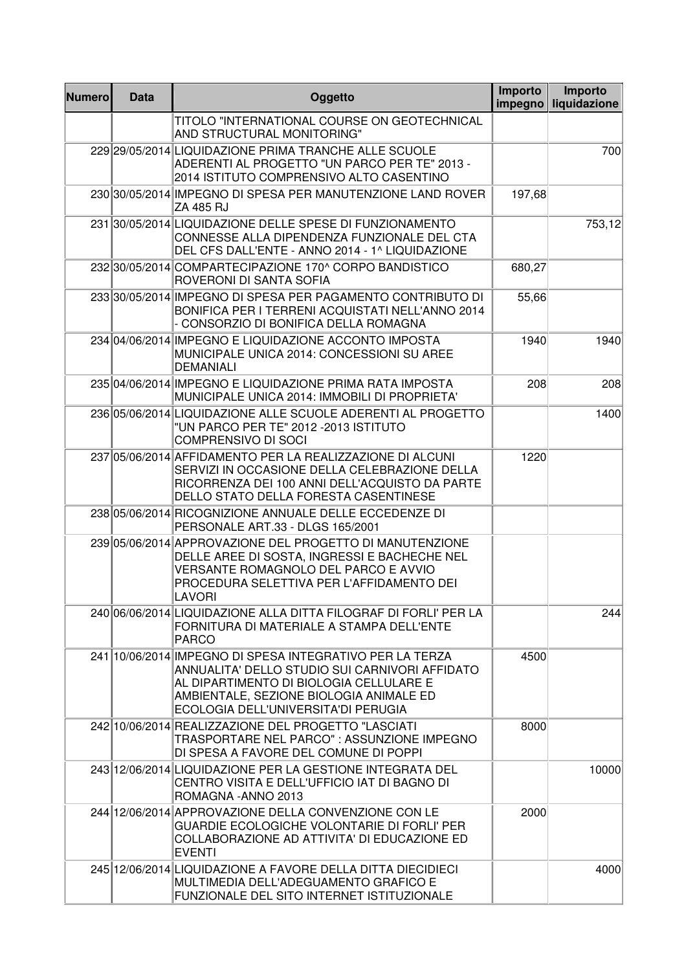| <b>Numero</b> | <b>Data</b> | Oggetto                                                                                                                                                                                                                                 | Importo<br>impegno | Importo<br>liquidazione |
|---------------|-------------|-----------------------------------------------------------------------------------------------------------------------------------------------------------------------------------------------------------------------------------------|--------------------|-------------------------|
|               |             | TITOLO "INTERNATIONAL COURSE ON GEOTECHNICAL<br>AND STRUCTURAL MONITORING"                                                                                                                                                              |                    |                         |
|               |             | 229 29/05/2014 LIQUIDAZIONE PRIMA TRANCHE ALLE SCUOLE<br>ADERENTI AL PROGETTO "UN PARCO PER TE" 2013 -<br>2014 ISTITUTO COMPRENSIVO ALTO CASENTINO                                                                                      |                    | 700                     |
|               |             | 230 30/05/2014 IMPEGNO DI SPESA PER MANUTENZIONE LAND ROVER<br>ZA 485 RJ                                                                                                                                                                | 197,68             |                         |
|               |             | 231 30/05/2014 LIQUIDAZIONE DELLE SPESE DI FUNZIONAMENTO<br>CONNESSE ALLA DIPENDENZA FUNZIONALE DEL CTA<br>DEL CFS DALL'ENTE - ANNO 2014 - 1^ LIQUIDAZIONE                                                                              |                    | 753,12                  |
|               |             | 232 30/05/2014 COMPARTECIPAZIONE 170^ CORPO BANDISTICO<br>ROVERONI DI SANTA SOFIA                                                                                                                                                       | 680,27             |                         |
|               |             | 233 30/05/2014 IMPEGNO DI SPESA PER PAGAMENTO CONTRIBUTO DI<br>BONIFICA PER I TERRENI ACQUISTATI NELL'ANNO 2014<br>- CONSORZIO DI BONIFICA DELLA ROMAGNA                                                                                | 55,66              |                         |
|               |             | 234 04/06/2014 IMPEGNO E LIQUIDAZIONE ACCONTO IMPOSTA<br>MUNICIPALE UNICA 2014: CONCESSIONI SU AREE<br><b>DEMANIALI</b>                                                                                                                 | 1940               | 1940                    |
|               |             | 235 04/06/2014 IMPEGNO E LIQUIDAZIONE PRIMA RATA IMPOSTA<br>MUNICIPALE UNICA 2014: IMMOBILI DI PROPRIETA'                                                                                                                               | 208                | 208                     |
|               |             | 236 05/06/2014 LIQUIDAZIONE ALLE SCUOLE ADERENTI AL PROGETTO<br>"UN PARCO PER TE" 2012 - 2013 ISTITUTO<br><b>COMPRENSIVO DI SOCI</b>                                                                                                    |                    | 1400                    |
|               |             | 237 05/06/2014 AFFIDAMENTO PER LA REALIZZAZIONE DI ALCUNI<br>SERVIZI IN OCCASIONE DELLA CELEBRAZIONE DELLA<br>RICORRENZA DEI 100 ANNI DELL'ACQUISTO DA PARTE<br>DELLO STATO DELLA FORESTA CASENTINESE                                   | 1220               |                         |
|               |             | 238 05/06/2014 RICOGNIZIONE ANNUALE DELLE ECCEDENZE DI<br>PERSONALE ART.33 - DLGS 165/2001                                                                                                                                              |                    |                         |
|               |             | 239 05/06/2014 APPROVAZIONE DEL PROGETTO DI MANUTENZIONE<br>DELLE AREE DI SOSTA, INGRESSI E BACHECHE NEL<br>VERSANTE ROMAGNOLO DEL PARCO E AVVIO<br>PROCEDURA SELETTIVA PER L'AFFIDAMENTO DEI<br><b>LAVORI</b>                          |                    |                         |
|               |             | 240 06/06/2014 LIQUIDAZIONE ALLA DITTA FILOGRAF DI FORLI' PER LA<br>FORNITURA DI MATERIALE A STAMPA DELL'ENTE<br><b>PARCO</b>                                                                                                           |                    | 244                     |
|               |             | 241 10/06/2014 IMPEGNO DI SPESA INTEGRATIVO PER LA TERZA<br>ANNUALITA' DELLO STUDIO SUI CARNIVORI AFFIDATO<br>AL DIPARTIMENTO DI BIOLOGIA CELLULARE E<br>AMBIENTALE, SEZIONE BIOLOGIA ANIMALE ED<br>ECOLOGIA DELL'UNIVERSITA'DI PERUGIA | 4500               |                         |
|               |             | 242 10/06/2014 REALIZZAZIONE DEL PROGETTO "LASCIATI<br>TRASPORTARE NEL PARCO" : ASSUNZIONE IMPEGNO<br>DI SPESA A FAVORE DEL COMUNE DI POPPI                                                                                             | 8000               |                         |
|               |             | 243 12/06/2014 LIQUIDAZIONE PER LA GESTIONE INTEGRATA DEL<br>CENTRO VISITA E DELL'UFFICIO IAT DI BAGNO DI<br>ROMAGNA - ANNO 2013                                                                                                        |                    | 10000                   |
|               |             | 244 12/06/2014 APPROVAZIONE DELLA CONVENZIONE CON LE<br>GUARDIE ECOLOGICHE VOLONTARIE DI FORLI' PER<br>COLLABORAZIONE AD ATTIVITA' DI EDUCAZIONE ED<br><b>EVENTI</b>                                                                    | 2000               |                         |
|               |             | 245 12/06/2014 LIQUIDAZIONE A FAVORE DELLA DITTA DIECIDIECI<br>MULTIMEDIA DELL'ADEGUAMENTO GRAFICO E<br>FUNZIONALE DEL SITO INTERNET ISTITUZIONALE                                                                                      |                    | 4000                    |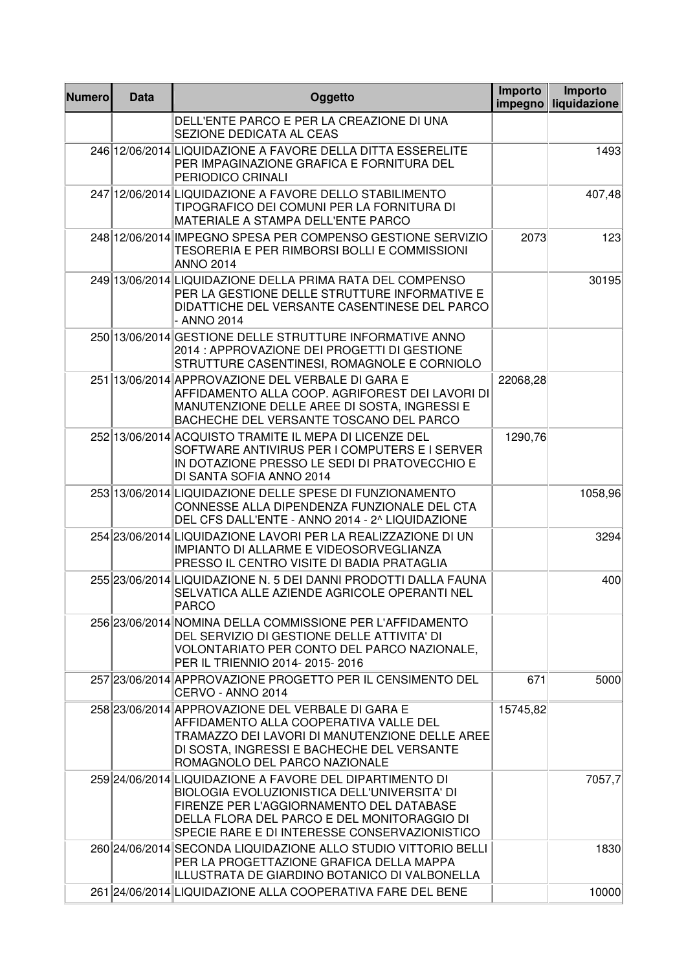| <b>Numero</b> | <b>Data</b> | Oggetto                                                                                                                                                                                                                                              | <b>Importo</b><br>impegno | Importo<br>liquidazione |
|---------------|-------------|------------------------------------------------------------------------------------------------------------------------------------------------------------------------------------------------------------------------------------------------------|---------------------------|-------------------------|
|               |             | DELL'ENTE PARCO E PER LA CREAZIONE DI UNA<br>SEZIONE DEDICATA AL CEAS                                                                                                                                                                                |                           |                         |
|               |             | 246 12/06/2014 LIQUIDAZIONE A FAVORE DELLA DITTA ESSERELITE<br>PER IMPAGINAZIONE GRAFICA E FORNITURA DEL<br>PERIODICO CRINALI                                                                                                                        |                           | 1493                    |
|               |             | 247 12/06/2014 LIQUIDAZIONE A FAVORE DELLO STABILIMENTO<br>TIPOGRAFICO DEI COMUNI PER LA FORNITURA DI<br>MATERIALE A STAMPA DELL'ENTE PARCO                                                                                                          |                           | 407,48                  |
|               |             | 248 12/06/2014 IMPEGNO SPESA PER COMPENSO GESTIONE SERVIZIO<br>TESORERIA E PER RIMBORSI BOLLI E COMMISSIONI<br><b>ANNO 2014</b>                                                                                                                      | 2073                      | 123                     |
|               |             | 249 13/06/2014 LIQUIDAZIONE DELLA PRIMA RATA DEL COMPENSO<br>PER LA GESTIONE DELLE STRUTTURE INFORMATIVE E<br>DIDATTICHE DEL VERSANTE CASENTINESE DEL PARCO<br>- ANNO 2014                                                                           |                           | 30195                   |
|               |             | 250 13/06/2014 GESTIONE DELLE STRUTTURE INFORMATIVE ANNO<br>2014 : APPROVAZIONE DEI PROGETTI DI GESTIONE<br>STRUTTURE CASENTINESI, ROMAGNOLE E CORNIOLO                                                                                              |                           |                         |
|               |             | 251 13/06/2014 APPROVAZIONE DEL VERBALE DI GARA E<br>AFFIDAMENTO ALLA COOP. AGRIFOREST DEI LAVORI DI<br>MANUTENZIONE DELLE AREE DI SOSTA, INGRESSI E<br>BACHECHE DEL VERSANTE TOSCANO DEL PARCO                                                      | 22068,28                  |                         |
|               |             | 252 13/06/2014 ACQUISTO TRAMITE IL MEPA DI LICENZE DEL<br>SOFTWARE ANTIVIRUS PER I COMPUTERS E I SERVER<br>IN DOTAZIONE PRESSO LE SEDI DI PRATOVECCHIO E<br>DI SANTA SOFIA ANNO 2014                                                                 | 1290,76                   |                         |
|               |             | 253 13/06/2014 LIQUIDAZIONE DELLE SPESE DI FUNZIONAMENTO<br>CONNESSE ALLA DIPENDENZA FUNZIONALE DEL CTA<br>DEL CFS DALL'ENTE - ANNO 2014 - 2^ LIQUIDAZIONE                                                                                           |                           | 1058,96                 |
|               |             | 254 23/06/2014 LIQUIDAZIONE LAVORI PER LA REALIZZAZIONE DI UN<br>IMPIANTO DI ALLARME E VIDEOSORVEGLIANZA<br>PRESSO IL CENTRO VISITE DI BADIA PRATAGLIA                                                                                               |                           | 3294                    |
|               |             | 255 23/06/2014 LIQUIDAZIONE N. 5 DEI DANNI PRODOTTI DALLA FAUNA<br>SELVATICA ALLE AZIENDE AGRICOLE OPERANTI NEL<br>PARCO                                                                                                                             |                           | 400                     |
|               |             | 256 23/06/2014 NOMINA DELLA COMMISSIONE PER L'AFFIDAMENTO<br>DEL SERVIZIO DI GESTIONE DELLE ATTIVITA' DI<br>VOLONTARIATO PER CONTO DEL PARCO NAZIONALE,<br>PER IL TRIENNIO 2014- 2015- 2016                                                          |                           |                         |
|               |             | 257 23/06/2014 APPROVAZIONE PROGETTO PER IL CENSIMENTO DEL<br>CERVO - ANNO 2014                                                                                                                                                                      | 671                       | 5000                    |
|               |             | 258 23/06/2014 APPROVAZIONE DEL VERBALE DI GARA E<br>AFFIDAMENTO ALLA COOPERATIVA VALLE DEL<br>TRAMAZZO DEI LAVORI DI MANUTENZIONE DELLE AREE<br>DI SOSTA, INGRESSI E BACHECHE DEL VERSANTE<br>ROMAGNOLO DEL PARCO NAZIONALE                         | 15745,82                  |                         |
|               |             | 259 24/06/2014 LIQUIDAZIONE A FAVORE DEL DIPARTIMENTO DI<br>BIOLOGIA EVOLUZIONISTICA DELL'UNIVERSITA' DI<br>FIRENZE PER L'AGGIORNAMENTO DEL DATABASE<br>DELLA FLORA DEL PARCO E DEL MONITORAGGIO DI<br>SPECIE RARE E DI INTERESSE CONSERVAZIONISTICO |                           | 7057,7                  |
|               |             | 260 24/06/2014 SECONDA LIQUIDAZIONE ALLO STUDIO VITTORIO BELLI<br>PER LA PROGETTAZIONE GRAFICA DELLA MAPPA<br>ILLUSTRATA DE GIARDINO BOTANICO DI VALBONELLA                                                                                          |                           | 1830                    |
|               |             | 261 24/06/2014 LIQUIDAZIONE ALLA COOPERATIVA FARE DEL BENE                                                                                                                                                                                           |                           | 10000                   |